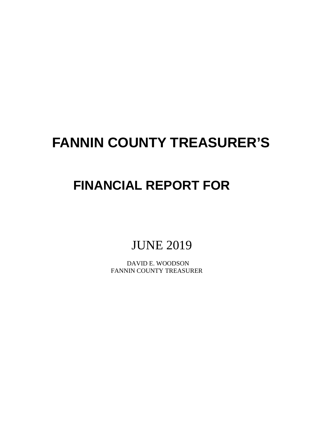# **FANNIN COUNTY TREASURER'S**

# **FINANCIAL REPORT FOR**

JUNE 2019

 DAVID E. WOODSON FANNIN COUNTY TREASURER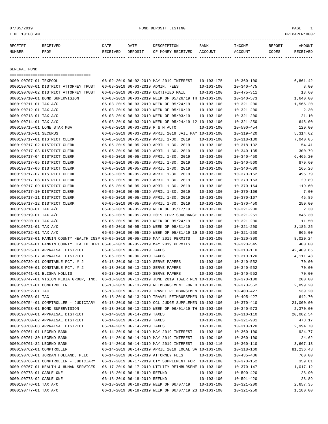or of the state of the state of the state of the state of the state of the state of the state of the state of the state of the state of the state of the state of the state of the state of the state of the state of the stat

| RECEIPT       | RECEIVED    | DATE     | DATE    | DESCRIPTION               | BANK | INCOME  | REPORT | AMOUNT          |
|---------------|-------------|----------|---------|---------------------------|------|---------|--------|-----------------|
| <b>NUMBER</b> | <b>FROM</b> | RECEIVED | DEPOSIT | OF MONEY RECEIVED ACCOUNT |      | ACCOUNT | CODES  | <b>RECEIVED</b> |
|               |             |          |         |                           |      |         |        |                 |

GENERAL FUND

|                             | ====================================                                           |                                  |                                                      |                  |                  |            |
|-----------------------------|--------------------------------------------------------------------------------|----------------------------------|------------------------------------------------------|------------------|------------------|------------|
| 0000190707-01 TEXPOOL       |                                                                                |                                  | 06-02-2019 06-02-2019 MAY 2019 INTEREST              | $10 - 103 - 175$ | $10 - 360 - 100$ | 6,861.42   |
|                             | 0000190708-01 DISTRICT ATTORNEY TRUST                                          |                                  | 06-03-2019 06-03-2019 ADMIN. FEES                    | $10 - 103 - 100$ | $10 - 340 - 475$ | 8.00       |
|                             | 0000190708-02 DISTRICT ATTORNEY TRUST                                          |                                  | 06-03-2019 06-03-2019 CERTIFIED MAIL                 | $10 - 103 - 100$ | $10 - 475 - 311$ | 13.60      |
|                             | 0000190710-01 BOND SUPERVISION                                                 |                                  | 06-03-2019 06-03-2019 WEEK OF 05/26/19 TH 10-103-100 |                  | $10 - 340 - 573$ | 1,640.00   |
| 0000190711-01 TAX A/C       |                                                                                |                                  | 06-03-2019 06-03-2019 WEEK OF 05/24/19               | $10 - 103 - 100$ | $10 - 321 - 200$ | 1,566.20   |
| 0000190712-01 TAX A/C       |                                                                                |                                  | 06-03-2019 06-03-2019 WEEK OF 05/10/19               | $10 - 103 - 100$ | $10 - 321 - 200$ | 2.30       |
| 0000190713-01 TAX A/C       |                                                                                |                                  | 06-03-2019 06-03-2019 WEEK OF 05/03/19               | $10 - 103 - 100$ | $10 - 321 - 200$ | 21.10      |
| 0000190714-01 TAX A/C       |                                                                                |                                  | 06-03-2019 06-03-2019 WEEK OF 05/24/19 12 10-103-100 |                  | $10 - 321 - 250$ | 645.00     |
| 0000190715-01 LONE STAR MGA |                                                                                | 06-03-2019 06-03-2019 R & M AUTO |                                                      | $10 - 103 - 100$ | $10 - 590 - 454$ | 120.00     |
| 0000190716-01 SECURUS       |                                                                                |                                  | 06-03-2019 06-03-2019 APRIL 2019 JAIL PAY 10-103-100 |                  | $10 - 319 - 420$ | 5,314.62   |
|                             | 0000190717-01 DISTRICT CLERK                                                   |                                  | 06-05-2019 06-05-2019 APRIL 1-30, 2019               | $10 - 103 - 100$ | $10 - 318 - 130$ | 7,040.05   |
|                             | 0000190717-02 DISTRICT CLERK                                                   |                                  | 06-05-2019 06-05-2019 APRIL 1-30, 2019               | $10 - 103 - 100$ | $10 - 318 - 132$ | 54.41      |
|                             | 0000190717-03 DISTRICT CLERK                                                   |                                  | 06-05-2019 06-05-2019 APRIL 1-30, 2019               | $10 - 103 - 100$ | $10 - 340 - 135$ | 300.79     |
|                             | 0000190717-04 DISTRICT CLERK                                                   |                                  | 06-05-2019 06-05-2019 APRIL 1-30, 2019               | $10 - 103 - 100$ | $10 - 340 - 450$ | 6,465.20   |
|                             | 0000190717-05 DISTRICT CLERK                                                   |                                  | 06-05-2019 06-05-2019 APRIL 1-30, 2019               | $10 - 103 - 100$ | $10 - 340 - 560$ | 879.60     |
|                             | 0000190717-06 DISTRICT CLERK                                                   |                                  | 06-05-2019 06-05-2019 APRIL 1-30, 2019               | $10 - 103 - 100$ | $10 - 340 - 600$ | 165.26     |
|                             | 0000190717-07 DISTRICT CLERK                                                   |                                  | 06-05-2019 06-05-2019 APRIL 1-30, 2019               | $10 - 103 - 100$ | $10 - 370 - 162$ | 495.79     |
|                             | 0000190717-08 DISTRICT CLERK                                                   |                                  | 06-05-2019 06-05-2019 APRIL 1-30, 2019               | $10 - 103 - 100$ | $10 - 370 - 163$ | 29.89      |
|                             | 0000190717-09 DISTRICT CLERK                                                   |                                  | 06-05-2019 06-05-2019 APRIL 1-30, 2019               | 10-103-100       | $10 - 370 - 164$ | 119.60     |
|                             | 0000190717-10 DISTRICT CLERK                                                   |                                  | 06-05-2019 06-05-2019 APRIL 1-30, 2019               | $10 - 103 - 100$ | $10 - 370 - 166$ | 7.00       |
|                             | 0000190717-11 DISTRICT CLERK                                                   |                                  | 06-05-2019 06-05-2019 APRIL 1-30, 2019               | $10 - 103 - 100$ | $10 - 370 - 167$ | 45.89      |
|                             | 0000190717-12 DISTRICT CLERK                                                   |                                  | 06-05-2019 06-05-2019 APRIL 1-30, 2019               | $10 - 103 - 100$ | $10 - 370 - 450$ | 250.00     |
| 0000190718-01 TAX A/C       |                                                                                |                                  | 06-05-2019 06-05-2019 WEEK OF 05/17/19               | $10 - 103 - 100$ | $10 - 321 - 200$ | 2.30       |
| 0000190719-01 TAX A/C       |                                                                                |                                  | 06-05-2019 06-05-2019 2019 TERP SURCHARGE 10-103-100 |                  | $10 - 321 - 251$ | 846.30     |
| 0000190720-01 TAX A/C       |                                                                                |                                  | 06-05-2019 06-05-2019 WEEK OF 05/24/19               | $10 - 103 - 100$ | $10 - 321 - 200$ | 11.50      |
| 0000190721-01 TAX A/C       |                                                                                |                                  | 06-05-2019 06-05-2019 WEEK OF 05/31/19               | $10 - 103 - 100$ | $10 - 321 - 200$ | 3,186.25   |
| 0000190722-01 TAX A/C       |                                                                                |                                  | 06-05-2019 06-05-2019 WEEK OF 05/31/19 19 10-103-100 |                  | $10 - 321 - 250$ | 965.00     |
|                             | 0000190723-01 FANNIN COUNTY HEALTH INSP 06-05-2019 06-05-2019 MAY 2019 PERMITS |                                  |                                                      | $10 - 103 - 100$ | $10 - 320 - 300$ | 8,020.24   |
|                             | 0000190724-01 FANNIN COUNTY HEALTH DEPT 06-05-2019 06-05-2019 MAY 2019 PERMITS |                                  |                                                      | $10 - 103 - 100$ | $10 - 320 - 545$ | 400.00     |
|                             | 0000190725-01 APPRAISAL DISTRICT                                               | 06-06-2019 06-06-2019 TAXES      |                                                      | $10 - 103 - 100$ | $10 - 310 - 110$ | 42,409.85  |
|                             | 0000190725-07 APPRAISAL DISTRICT                                               | 06-06-2019 06-06-2019 TAXES      |                                                      | $10 - 103 - 100$ | $10 - 310 - 120$ | 4, 111, 43 |
|                             | 0000190739-01 CONSTABLE PCT. # 2                                               |                                  | 06-13-2019 06-13-2019 SERVE PAPERS                   | $10 - 103 - 100$ | $10 - 340 - 552$ | 70.00      |
|                             | 0000190740-01 CONSTABLE PCT. # 2                                               |                                  | 06-13-2019 06-13-2019 SERVE PAPERS                   | $10 - 103 - 100$ | $10 - 340 - 552$ | 70.00      |
| 0000190741-01 ELISHA HOLLIS |                                                                                |                                  | 06-13-2019 06-13-2019 SERVE PAPERS                   | $10 - 103 - 100$ | $10 - 340 - 552$ | 70.00      |
|                             | 0000190747-01 VISION MEDIA GROUP, INC.                                         |                                  | 06-13-2019 06-13-2019 JUNE 2019 TOWER REN 10-103-100 |                  | $10 - 370 - 100$ | 200.00     |
| 0000190751-01 COMPTROLLER   |                                                                                |                                  | 06-13-2019 06-13-2019 REIMBURSEMENT FOR O 10-103-100 |                  | $10 - 370 - 562$ | 2,899.20   |
| 0000190752-01 TAC           |                                                                                |                                  | 06-13-2019 06-13-2019 TRAVEL REIMBURSEMEN 10-103-100 |                  | $10 - 400 - 427$ | 539.20     |
| 0000190753-01 TAC           |                                                                                |                                  | 06-13-2019 06-13-2019 TRAVEL REIMBURSEMEN 10-103-100 |                  | $10 - 495 - 427$ | 642.70     |
|                             | 0000190754-01 COMPTROLLER - JUDICIARY                                          |                                  | 06-13-2019 06-13-2019 CCL JUDGE SUPPLEMEN 10-103-100 |                  | $10 - 370 - 410$ | 21,000.00  |
|                             | 0000190758-01 BOND SUPERVISION                                                 |                                  | 06-13-2019 06-13-2019 WEEK OF 06/01/19 TH 10-103-100 |                  | $10 - 340 - 573$ | 2,370.00   |
|                             | 0000190760-01 APPRAISAL DISTRICT                                               | 06-14-2019 06-14-2019 TAXES      |                                                      | $10 - 103 - 100$ | $10 - 310 - 110$ | 20,082.54  |
|                             | 0000190760-02 APPRAISAL DISTRICT                                               | 06-14-2019 06-14-2019 TAXES      |                                                      | $10 - 103 - 100$ | $10 - 321 - 901$ | 473.17     |
|                             | 0000190760-08 APPRAISAL DISTRICT                                               | 06-14-2019 06-14-2019 TAXES      |                                                      | $10 - 103 - 100$ | $10 - 310 - 120$ | 2,994.70   |
| 0000190761-01 LEGEND BANK   |                                                                                |                                  | 06-14-2019 06-14-2019 MAY 2019 INTEREST              | 10-103-100       | $10 - 360 - 100$ | 924.77     |
| 0000190761-30 LEGEND BANK   |                                                                                |                                  | 06-14-2019 06-14-2019 MAY 2019 INTEREST              | 10-100-100       | $10 - 360 - 100$ | 24.62      |
| 0000190761-32 LEGEND BANK   |                                                                                |                                  | 06-14-2019 06-14-2019 MAY 2019 INTEREST              | 10-103-110       | $10 - 360 - 110$ | 3,667.13   |
| 0000190762-01 COMPTROLLER   |                                                                                |                                  | 06-14-2019 06-14-2019 APRIL 2019 LOCAL SA 10-103-100 |                  | $10 - 318 - 160$ | 81,236.43  |
|                             | 0000190763-01 JORDAN HOLLAND, PLLC                                             |                                  | 06-14-2019 06-14-2019 ATTORNEY FEES                  | $10 - 103 - 100$ | $10 - 435 - 436$ | 760.00     |
|                             | 0000190766-01 COMPTROLLER - JUDICIARY                                          |                                  | 06-17-2019 06-17-2019 CTY SUPPLEMENT FOR 10-103-100  |                  | $10 - 370 - 152$ | 359.81     |
|                             | 0000190767-01 HEALTH & HUMAN SERVICES                                          |                                  | 06-17-2019 06-17-2019 UTILITY REIMBURSEME 10-103-100 |                  | $10 - 370 - 147$ | 1,017.12   |
| 0000190773-01 CABLE ONE     |                                                                                | 06-18-2019 06-18-2019 REFUND     |                                                      | $10 - 103 - 100$ | $10 - 590 - 420$ | 28.90      |
| 0000190773-02 CABLE ONE     |                                                                                | 06-18-2019 06-18-2019 REFUND     |                                                      | 10-103-100       | $10 - 591 - 420$ | 28.89      |
| 0000190776-01 TAX A/C       |                                                                                |                                  | 06-18-2019 06-18-2019 WEEK OF 06/07/19               | $10 - 103 - 100$ | $10 - 321 - 200$ | 2,657.35   |
| 0000190777-01 TAX A/C       |                                                                                |                                  | 06-18-2019 06-18-2019 WEEK OF 06/07/19 23 10-103-100 |                  | $10 - 321 - 250$ | 1,180.00   |
|                             |                                                                                |                                  |                                                      |                  |                  |            |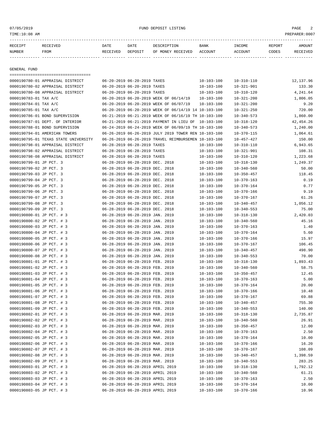# or of the state of the state of the state of the state of the state of the state of the state of the state of the state of the state of the state of the state of the state of the state of the state of the state of the stat

| RECEIPT | <b>RECEIVED</b> | DATE            | DATE    | DESCRIPTION       | <b>BANK</b> | INCOME  | REPORT | AMOUNT          |
|---------|-----------------|-----------------|---------|-------------------|-------------|---------|--------|-----------------|
| NUMBER  | FROM            | <b>RECEIVED</b> | DEPOSIT | OF MONEY RECEIVED | ACCOUNT     | ACCOUNT | CODES  | <b>RECEIVED</b> |
|         |                 |                 |         |                   |             |         |        |                 |

GENERAL FUND

| ====================================                   |                                  |                                                      |                                      |                                      |           |
|--------------------------------------------------------|----------------------------------|------------------------------------------------------|--------------------------------------|--------------------------------------|-----------|
| 0000190780-01 APPRAISAL DISTRICT                       | 06-20-2019 06-20-2019 TAXES      |                                                      | $10 - 103 - 100$                     | $10 - 310 - 110$                     | 12,137.96 |
| 0000190780-02 APPRAISAL DISTRICT                       | 06-20-2019 06-20-2019 TAXES      |                                                      | $10 - 103 - 100$                     | $10 - 321 - 901$                     | 133.30    |
| 0000190780-08 APPRAISAL DISTRICT                       | 06-20-2019 06-20-2019 TAXES      |                                                      | $10 - 103 - 100$                     | $10 - 310 - 120$                     | 4,241.64  |
| 0000190783-01 TAX A/C                                  |                                  | 06-20-2019 06-20-2019 WEEK OF 06/14/19               | 10-103-100                           | $10 - 321 - 200$                     | 1,806.05  |
| 0000190784-01 TAX A/C                                  |                                  | 06-20-2019 06-20-2019 WEEK OF 06/07/19               | $10 - 103 - 100$                     | $10 - 321 - 200$                     | 9.20      |
| 0000190785-01 TAX A/C                                  |                                  | 06-20-2019 06-20-2019 WEEK OF 06/14/19 14 10-103-100 |                                      | $10 - 321 - 250$                     | 720.00    |
| 0000190786-01 BOND SUPERVISION                         |                                  | 06-21-2019 06-21-2019 WEEK OF 06/16/19 TH 10-103-100 |                                      | $10 - 340 - 573$                     | 1,860.00  |
| 0000190787-01 DEPT. OF INTERIOR                        |                                  | 06-21-2019 06-21-2019 PAYMENT IN LIEU OF 10-103-100  |                                      | $10 - 318 - 120$                     | 42,454.26 |
| 0000190788-01 BOND SUPERVISION                         |                                  | 06-24-2019 06-24-2019 WEEK OF 06/09/19 TH 10-103-100 |                                      | $10 - 340 - 573$                     | 1,240.00  |
| 0000190794-01 AMERICAN TOWERS                          |                                  | 06-26-2019 06-26-2019 JULY 2019 TOWER REN 10-103-100 |                                      | $10 - 370 - 115$                     | 1,064.61  |
| 0000190795-01 TEXAS STATE UNIVERSITY                   |                                  | 06-26-2019 06-26-2019 TRAVEL REIMBURSEMEN 10-103-100 |                                      | $10 - 457 - 427$                     | 150.00    |
| 0000190798-01 APPRAISAL DISTRICT                       | 06-28-2019 06-28-2019 TAXES      |                                                      | $10 - 103 - 100$                     | $10 - 310 - 110$                     | 6,943.65  |
| 0000190798-02 APPRAISAL DISTRICT                       | 06-28-2019 06-28-2019 TAXES      |                                                      | $10 - 103 - 100$                     | $10 - 321 - 901$                     | 108.31    |
| 0000190798-08 APPRAISAL DISTRICT                       | 06-28-2019 06-28-2019 TAXES      |                                                      | $10 - 103 - 100$                     | $10 - 310 - 120$                     | 1,223.68  |
| 0000190799-01 JP PCT. 3                                | 06-28-2019 06-28-2019 DEC. 2018  |                                                      | $10 - 103 - 100$                     | $10 - 318 - 130$                     | 1,249.37  |
| 0000190799-02 JP PCT. 3                                | 06-28-2019 06-28-2019 DEC. 2018  |                                                      | $10 - 103 - 100$                     | $10 - 340 - 560$                     | 50.00     |
| 0000190799-03 JP PCT. 3                                | 06-28-2019 06-28-2019 DEC. 2018  |                                                      | $10 - 103 - 100$                     | $10 - 350 - 457$                     | 118.45    |
| 0000190799-04 JP PCT. 3                                | 06-28-2019 06-28-2019 DEC. 2018  |                                                      | $10 - 103 - 100$                     | $10 - 370 - 163$                     | 0.19      |
| 0000190799-05 JP PCT. 3                                | 06-28-2019 06-28-2019 DEC. 2018  |                                                      | $10 - 103 - 100$                     | $10 - 370 - 164$                     | 0.77      |
| 0000190799-06 JP PCT. 3                                | 06-28-2019 06-28-2019 DEC. 2018  |                                                      | $10 - 103 - 100$                     | $10 - 370 - 166$                     | 9.19      |
| 0000190799-07 JP PCT. 3                                | 06-28-2019 06-28-2019 DEC. 2018  |                                                      | $10 - 103 - 100$                     | $10 - 370 - 167$                     | 61.26     |
| 0000190799-08 JP PCT. 3                                | 06-28-2019 06-28-2019 DEC. 2018  |                                                      | $10 - 103 - 100$                     | $10 - 340 - 457$                     | 1,056.12  |
| 0000190799-09 JP PCT. 3                                | 06-28-2019 06-28-2019 DEC. 2018  |                                                      | $10 - 103 - 100$                     | $10 - 340 - 553$                     | 75.00     |
| 0000190800-01 JP PCT. # 3                              | 06-28-2019 06-28-2019 JAN. 2019  |                                                      | $10 - 103 - 100$                     | $10 - 318 - 130$                     | 2,420.03  |
| 0000190800-02 JP PCT. # 3                              | 06-28-2019 06-28-2019 JAN. 2019  |                                                      | $10 - 103 - 100$                     | $10 - 340 - 560$                     | 45.16     |
| 0000190800-03 JP PCT. # 3                              | 06-28-2019 06-28-2019 JAN. 2019  |                                                      | $10 - 103 - 100$                     | $10 - 370 - 163$                     | 1.40      |
| 0000190800-04 JP PCT. # 3                              | 06-28-2019 06-28-2019 JAN. 2019  |                                                      | $10 - 103 - 100$                     | $10 - 370 - 164$                     | 5.60      |
| 0000190800-05 JP PCT. # 3                              | 06-28-2019 06-28-2019 JAN. 2019  |                                                      | $10 - 103 - 100$                     | $10 - 370 - 166$                     | 15.97     |
| 0000190800-06 JP PCT. # 3                              | 06-28-2019 06-28-2019 JAN. 2019  |                                                      | $10 - 103 - 100$                     | $10 - 370 - 167$                     | 106.45    |
| 0000190800-07 JP PCT. # 3                              | 06-28-2019 06-28-2019 JAN. 2019  |                                                      | $10 - 103 - 100$                     | $10 - 340 - 457$                     | 498.90    |
| 0000190800-08 JP PCT. # 3                              | 06-28-2019 06-28-2019 JAN. 2019  |                                                      | $10 - 103 - 100$                     | $10 - 340 - 553$                     | 70.00     |
| 0000190801-01 JP PCT. # 3                              | 06-28-2019 06-28-2019 FEB. 2019  |                                                      | $10 - 103 - 100$                     | $10 - 318 - 130$                     | 1,893.43  |
| 0000190801-02 JP PCT. # 3                              | 06-28-2019 06-28-2019 FEB. 2019  |                                                      | $10 - 103 - 100$                     | $10 - 340 - 560$                     | 58.75     |
| 0000190801-03 JP PCT. # 3                              | 06-28-2019 06-28-2019 FEB. 2019  |                                                      | $10 - 103 - 100$                     | $10 - 350 - 457$                     | 12.45     |
| 0000190801-04 JP PCT. # 3                              | 06-28-2019 06-28-2019 FEB. 2019  |                                                      | $10 - 103 - 100$                     | $10 - 370 - 163$                     | 5.00      |
| 0000190801-05 JP PCT. # 3                              | 06-28-2019 06-28-2019 FEB. 2019  |                                                      | $10 - 103 - 100$                     | $10 - 370 - 164$                     | 20.00     |
| 0000190801-06 JP PCT. # 3                              | 06-28-2019 06-28-2019 FEB. 2019  |                                                      | $10 - 103 - 100$                     | $10 - 370 - 166$                     | 10.48     |
| 0000190801-07 JP PCT. # 3                              | 06-28-2019 06-28-2019 FEB. 2019  |                                                      | $10 - 103 - 100$                     | $10 - 370 - 167$                     | 69.88     |
| 0000190801-08 JP PCT. # 3                              | 06-28-2019 06-28-2019 FEB. 2019  |                                                      | $10 - 103 - 100$                     | $10 - 340 - 457$                     | 755.30    |
| 0000190801-09 JP PCT. # 3                              | 06-28-2019 06-28-2019 FEB. 2019  |                                                      | $10 - 103 - 100$                     | $10 - 340 - 553$                     | 140.00    |
| 0000190802-01 JP PCT. # 3                              | 06-28-2019 06-28-2019 MAR. 2019  |                                                      | $10 - 103 - 100$                     | 10-318-130                           | 2,735.87  |
| 0000190802-02 JP PCT. # 3                              | 06-28-2019 06-28-2019 MAR. 2019  |                                                      | $10 - 103 - 100$                     | $10 - 340 - 560$                     | 26.91     |
| 0000190802-03 JP PCT. # 3                              | 06-28-2019 06-28-2019 MAR. 2019  |                                                      | $10 - 103 - 100$                     | $10 - 350 - 457$                     | 12.00     |
| 0000190802-04 JP PCT. # 3                              | 06-28-2019 06-28-2019 MAR. 2019  |                                                      | $10 - 103 - 100$                     | $10 - 370 - 163$                     | 2.50      |
| 0000190802-05 JP PCT. # 3                              | 06-28-2019 06-28-2019 MAR. 2019  |                                                      |                                      | $10 - 370 - 164$                     | 10.00     |
|                                                        | 06-28-2019 06-28-2019 MAR. 2019  |                                                      | $10 - 103 - 100$                     |                                      |           |
| 0000190802-06 JP PCT. # 3                              | 06-28-2019 06-28-2019 MAR. 2019  |                                                      | $10 - 103 - 100$<br>$10 - 103 - 100$ | $10 - 370 - 166$<br>$10 - 370 - 167$ | 16.20     |
| 0000190802-07 JP PCT. # 3                              |                                  |                                                      |                                      |                                      | 108.09    |
| 0000190802-08 JP PCT. # 3<br>0000190802-09 JP PCT. # 3 | 06-28-2019 06-28-2019 MAR. 2019  |                                                      | $10 - 103 - 100$                     | $10 - 340 - 457$                     | 1,398.59  |
|                                                        | 06-28-2019 06-28-2019 MAR. 2019  |                                                      | $10 - 103 - 100$                     | $10 - 340 - 553$                     | 283.25    |
| 0000190803-01 JP PCT. # 3                              | 06-28-2019 06-28-2019 APRIL 2019 |                                                      | $10 - 103 - 100$                     | $10 - 318 - 130$                     | 1,792.12  |
| 0000190803-02 JP PCT. # 3                              | 06-28-2019 06-28-2019 APRIL 2019 |                                                      | $10 - 103 - 100$                     | $10 - 340 - 560$                     | 61.21     |
| 0000190803-03 JP PCT. # 3                              | 06-28-2019 06-28-2019 APRIL 2019 |                                                      | $10 - 103 - 100$                     | $10 - 370 - 163$                     | 2.50      |
| 0000190803-04 JP PCT. # 3                              | 06-28-2019 06-28-2019 APRIL 2019 |                                                      | $10 - 103 - 100$                     | $10 - 370 - 164$                     | 10.00     |
| 0000190803-05 JP PCT. # 3                              | 06-28-2019 06-28-2019 APRIL 2019 |                                                      | $10 - 103 - 100$                     | $10 - 370 - 166$                     | 10.96     |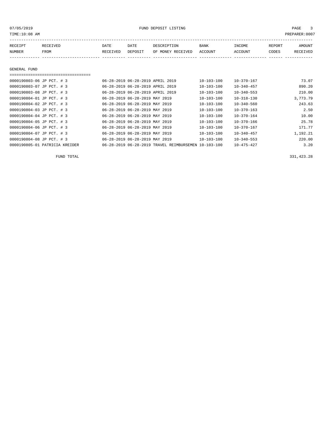or of the state of the state of the state of the state of the state of the state of the state of the state of the state of the state of the state of the state of the state of the state of the state of the state of the stat

| RECEIPT | RECEIVED | <b>DATE</b> | DATE    | DESCRIPTION               | <b>BANK</b> | INCOME  | REPORT | <b>AMOUNT</b> |
|---------|----------|-------------|---------|---------------------------|-------------|---------|--------|---------------|
| NUMBER  | FROM     | RECEIVED    | DEPOSIT | OF MONEY RECEIVED ACCOUNT |             | ACCOUNT | CODES  | RECEIVED      |
|         |          |             |         |                           |             |         |        |               |

## GENERAL FUND

===================================

| 0000190803-06 JP PCT. # 3      | 06-28-2019 06-28-2019 APRIL 2019 |                                                      | $10 - 103 - 100$ | $10 - 370 - 167$ | 73.07    |
|--------------------------------|----------------------------------|------------------------------------------------------|------------------|------------------|----------|
| 0000190803-07 JP PCT. # 3      | 06-28-2019 06-28-2019 APRIL 2019 |                                                      | $10 - 103 - 100$ | $10 - 340 - 457$ | 890.20   |
| 0000190803-08 JP PCT. # 3      | 06-28-2019 06-28-2019 APRIL 2019 |                                                      | $10 - 103 - 100$ | $10 - 340 - 553$ | 210.00   |
| 0000190804-01 JP PCT. # 3      | 06-28-2019 06-28-2019 MAY 2019   |                                                      | $10 - 103 - 100$ | $10 - 318 - 130$ | 3,773.79 |
| 0000190804-02 JP PCT. # 3      | 06-28-2019 06-28-2019 MAY 2019   |                                                      | $10 - 103 - 100$ | $10 - 340 - 560$ | 243.63   |
| 0000190804-03 JP PCT. # 3      | 06-28-2019 06-28-2019 MAY 2019   |                                                      | $10 - 103 - 100$ | $10 - 370 - 163$ | 2.50     |
| 0000190804-04 JP PCT. # 3      | 06-28-2019 06-28-2019 MAY 2019   |                                                      | $10 - 103 - 100$ | $10 - 370 - 164$ | 10.00    |
| 0000190804-05 JP PCT. # 3      | 06-28-2019 06-28-2019 MAY 2019   |                                                      | 10-103-100       | $10 - 370 - 166$ | 25.78    |
| 0000190804-06 JP PCT. # 3      | 06-28-2019 06-28-2019 MAY 2019   |                                                      | $10 - 103 - 100$ | $10 - 370 - 167$ | 171.77   |
| 0000190804-07 JP PCT. # 3      | 06-28-2019 06-28-2019 MAY 2019   |                                                      | $10 - 103 - 100$ | $10 - 340 - 457$ | 1,192.21 |
| 0000190804-08 JP PCT. # 3      | 06-28-2019 06-28-2019 MAY 2019   |                                                      | $10 - 103 - 100$ | $10 - 340 - 553$ | 220.00   |
| 0000190805-01 PATRICIA KREIDER |                                  | 06-28-2019 06-28-2019 TRAVEL REIMBURSEMEN 10-103-100 |                  | $10 - 475 - 427$ | 3.20     |

FUND TOTAL 331,423.28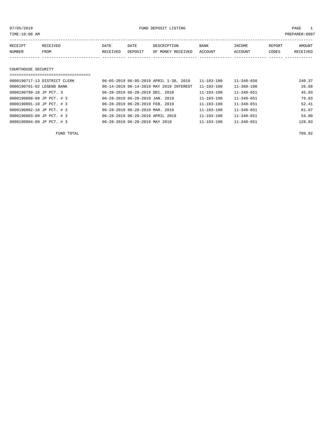| TIME:10:08 AM       |                              |          |         |                                        |                  |                  |        | PREPARER:0007 |
|---------------------|------------------------------|----------|---------|----------------------------------------|------------------|------------------|--------|---------------|
|                     |                              |          |         |                                        |                  |                  |        |               |
| RECEIPT             | RECEIVED                     | DATE     | DATE    | DESCRIPTION                            | <b>BANK</b>      | INCOME           | REPORT | AMOUNT        |
| NUMBER              | FROM                         | RECEIVED | DEPOSIT | OF MONEY RECEIVED                      | ACCOUNT          | ACCOUNT          | CODES  | RECEIVED      |
|                     |                              |          |         |                                        |                  |                  |        |               |
|                     |                              |          |         |                                        |                  |                  |        |               |
| COURTHOUSE SECURITY |                              |          |         |                                        |                  |                  |        |               |
|                     |                              |          |         |                                        |                  |                  |        |               |
|                     | 0000190717-13 DISTRICT CLERK |          |         | 06-05-2019 06-05-2019 APRIL 1-30, 2019 | $11 - 103 - 100$ | $11 - 340 - 650$ |        | 240.37        |
|                     |                              |          |         |                                        |                  |                  |        |               |

| 0000190761-02 LEGEND BANK | 06-14-2019 06-14-2019 MAY 2019 INTEREST | $11 - 103 - 100$ | 11-360-100       | 26.68  |
|---------------------------|-----------------------------------------|------------------|------------------|--------|
| 0000190799-10 JP PCT. 3   | 06-28-2019 06-28-2019 DEC. 2018         | $11 - 103 - 100$ | $11 - 340 - 651$ | 45.93  |
| 0000190800-09 JP PCT. # 3 | 06-28-2019 06-28-2019 JAN. 2019         | $11 - 103 - 100$ | $11 - 340 - 651$ | 79.83  |
| 0000190801-10 JP PCT. # 3 | 06-28-2019 06-28-2019 FEB. 2019         | $11 - 103 - 100$ | $11 - 340 - 651$ | 52.41  |
| 0000190802-10 JP PCT. # 3 | 06-28-2019 06-28-2019 MAR. 2019         | $11 - 103 - 100$ | $11 - 340 - 651$ | 81.07  |
| 0000190803-09 JP PCT. # 3 | 06-28-2019 06-28-2019 APRIL 2019        | $11 - 103 - 100$ | $11 - 340 - 651$ | 54.80  |
| 0000190804-09 JP PCT. # 3 | 06-28-2019 06-28-2019 MAY 2019          | $11 - 103 - 100$ | $11 - 340 - 651$ | 128.83 |
|                           |                                         |                  |                  |        |

FUND TOTAL 709.92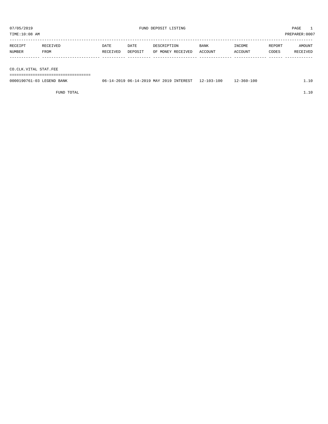TIME:10:08 AM PREPARER:0007

| RECEIPT | <b>RECEIVED</b> | DATE     | DATE    | DESCRIPTION       | <b>BANK</b> | INCOME  | REPORT | AMOUNT   |
|---------|-----------------|----------|---------|-------------------|-------------|---------|--------|----------|
| NUMBER  | FROM            | RECEIVED | DEPOSIT | OF MONEY RECEIVED | ACCOUNT     | ACCOUNT | CODES  | RECEIVED |
|         |                 |          |         |                   |             |         |        |          |

CO.CLK.VITAL STAT.FEE

===================================

| 0000190761-03 LEGEND BANK | 06-14-2019 06-14-2019 MAY 2019 INTEREST 12-103-100 |  | $12 - 360 - 100$ |  |
|---------------------------|----------------------------------------------------|--|------------------|--|
|                           |                                                    |  |                  |  |

FUND TOTAL  $1.10$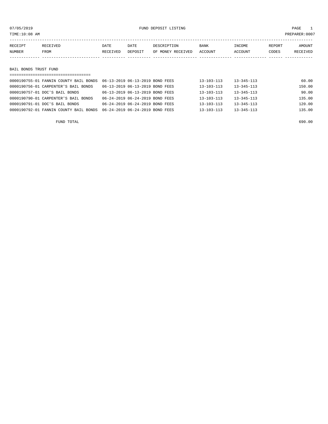or of the state of the state of the state of the state of the state of the state of the state of the state of the state of the state of the state of the state of the state of the state of the state of the state of the stat

| RECEIPT               | RECEIVED | DATE     | DATE    | DESCRIPTION       | BANK    | INCOME  | REPORT | AMOUNT   |
|-----------------------|----------|----------|---------|-------------------|---------|---------|--------|----------|
| NUMBER                | FROM     | RECEIVED | DEPOSIT | OF MONEY RECEIVED | ACCOUNT | ACCOUNT | CODES  | RECEIVED |
|                       |          |          |         |                   |         |         |        |          |
|                       |          |          |         |                   |         |         |        |          |
| BAIL BONDS TRUST FUND |          |          |         |                   |         |         |        |          |

| =====================================  |                                 |  |                  |                  |        |
|----------------------------------------|---------------------------------|--|------------------|------------------|--------|
| 0000190755-01 FANNIN COUNTY BAIL BONDS | 06-13-2019 06-13-2019 BOND FEES |  | $13 - 103 - 113$ | $13 - 345 - 113$ | 60.00  |
| 0000190756-01 CARPENTER'S BAIL BONDS   | 06-13-2019 06-13-2019 BOND FEES |  | $13 - 103 - 113$ | $13 - 345 - 113$ | 150.00 |
| 0000190757-01 DOC'S BAIL BONDS         | 06-13-2019 06-13-2019 BOND FEES |  | $13 - 103 - 113$ | $13 - 345 - 113$ | 90.00  |
| 0000190790-01 CARPENTER'S BAIL BONDS   | 06-24-2019 06-24-2019 BOND FEES |  | $13 - 103 - 113$ | $13 - 345 - 113$ | 135.00 |
| 0000190791-01 DOC'S BAIL BONDS         | 06-24-2019 06-24-2019 BOND FEES |  | $13 - 103 - 113$ | $13 - 345 - 113$ | 120.00 |
| 0000190792-01 FANNIN COUNTY BAIL BONDS | 06-24-2019 06-24-2019 BOND FEES |  | $13 - 103 - 113$ | $13 - 345 - 113$ | 135.00 |
|                                        |                                 |  |                  |                  |        |

FUND TOTAL 690.00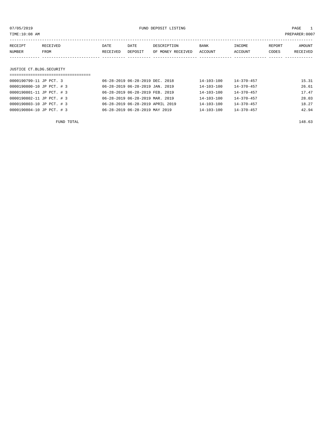| 07/05/2019<br>TIME:10:08 AM |          | FUND DEPOSIT LISTING<br>PREPARER:0007 |                                  |                   |                  |                  |        |          |
|-----------------------------|----------|---------------------------------------|----------------------------------|-------------------|------------------|------------------|--------|----------|
| RECEIPT                     | RECEIVED | DATE                                  | DATE                             | DESCRIPTION       | BANK             | INCOME           | REPORT | AMOUNT   |
| NUMBER                      | FROM     | RECEIVED                              | DEPOSIT                          | OF MONEY RECEIVED | ACCOUNT          | ACCOUNT          | CODES  | RECEIVED |
|                             |          |                                       |                                  |                   |                  |                  |        |          |
| JUSTICE CT.BLDG.SECURITY    |          |                                       |                                  |                   |                  |                  |        |          |
| 0000190799-11 JP PCT, 3     |          |                                       | 06-28-2019 06-28-2019 DEC. 2018  |                   | $14 - 103 - 100$ | $14 - 370 - 457$ |        | 15.31    |
| 0000190800-10 JP PCT. # 3   |          |                                       | 06-28-2019 06-28-2019 JAN. 2019  |                   | 14-103-100       | $14 - 370 - 457$ |        | 26.61    |
| 0000190801-11 JP PCT. # 3   |          |                                       | 06-28-2019 06-28-2019 FEB. 2019  |                   | $14 - 103 - 100$ | $14 - 370 - 457$ |        | 17.47    |
| 0000190802-11 JP PCT. # 3   |          |                                       | 06-28-2019 06-28-2019 MAR. 2019  |                   | $14 - 103 - 100$ | $14 - 370 - 457$ |        | 28.03    |
| 0000190803-10 JP PCT. # 3   |          |                                       | 06-28-2019 06-28-2019 APRIL 2019 |                   | 14-103-100       | $14 - 370 - 457$ |        | 18.27    |
| 0000190804-10 JP PCT. # 3   |          |                                       | 06-28-2019 06-28-2019 MAY 2019   |                   | $14 - 103 - 100$ | $14 - 370 - 457$ |        | 42.94    |

FUND TOTAL 148.63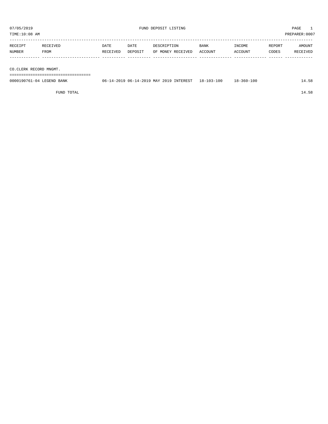TIME:10:08 AM PREPARER:0007

| RECEIPT | RECEIVED | DATE     | DATE    | DESCRIPTION       | <b>BANK</b> | INCOME  | REPORT | AMOUNT          |
|---------|----------|----------|---------|-------------------|-------------|---------|--------|-----------------|
| NUMBER  | FROM     | RECEIVED | DEPOSIT | OF MONEY RECEIVED | ACCOUNT     | ACCOUNT | CODES  | <b>RECEIVED</b> |
|         |          |          |         |                   |             |         |        |                 |
|         |          |          |         |                   |             |         |        |                 |

CO.CLERK RECORD MNGMT.

===================================

| 0000190761-04 LEGEND BANK | 06-14-2019 06-14-2019 MAY 2019 INTEREST 18-103-100 | $18 - 360 - 100$ | 14.58 |
|---------------------------|----------------------------------------------------|------------------|-------|
|                           |                                                    |                  |       |

FUND TOTAL 14.58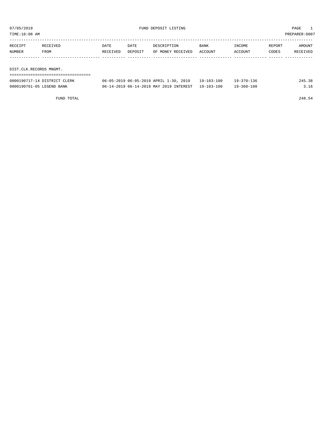TIME:10:08 AM PREPARER:0007

| RECEIPT | RECEIVED                | <b>DATE</b> | DATE    | DESCRIPTION       | <b>BANK</b> | INCOME  | REPORT | AMOUNT   |  |  |  |
|---------|-------------------------|-------------|---------|-------------------|-------------|---------|--------|----------|--|--|--|
| NUMBER  | FROM                    | RECEIVED    | DEPOSIT | OF MONEY RECEIVED | ACCOUNT     | ACCOUNT | CODES  | RECEIVED |  |  |  |
|         |                         |             |         |                   |             |         |        |          |  |  |  |
|         |                         |             |         |                   |             |         |        |          |  |  |  |
|         | DIST.CLK.RECORDS MNGMT. |             |         |                   |             |         |        |          |  |  |  |
|         |                         |             |         |                   |             |         |        |          |  |  |  |

| 0000190717-14 DISTRICT CLERK | 06-05-2019 06-05-2019 APRIL 1-30, 2019  | $19 - 103 - 100$ | 19-370-136 | 24 F |
|------------------------------|-----------------------------------------|------------------|------------|------|
| 0000190761-05 LEGEND BANK    | 06-14-2019 06-14-2019 MAY 2019 INTEREST | 19-103-100       | 19-360-100 |      |

FUND TOTAL 248.54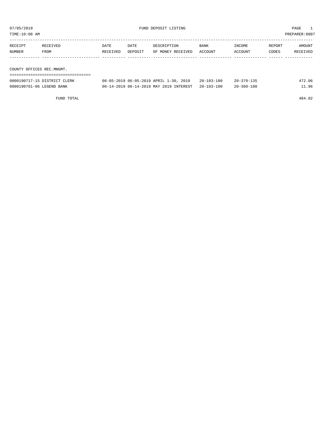07/05/2019 FUND DEPOSIT LISTING PAGE 1

| TIME:10:08 AM<br>PREPARER: 0007 |                              |          |         |                                        |                  |                  |        |          |  |
|---------------------------------|------------------------------|----------|---------|----------------------------------------|------------------|------------------|--------|----------|--|
| RECEIPT                         | RECEIVED                     | DATE     | DATE    | DESCRIPTION                            | <b>BANK</b>      | INCOME           | REPORT | AMOUNT   |  |
| NUMBER                          | FROM                         | RECEIVED | DEPOSIT | OF MONEY RECEIVED                      | ACCOUNT          | ACCOUNT          | CODES  | RECEIVED |  |
|                                 |                              |          |         |                                        |                  |                  |        |          |  |
|                                 |                              |          |         |                                        |                  |                  |        |          |  |
| COUNTY OFFICES REC.MNGMT.       |                              |          |         |                                        |                  |                  |        |          |  |
|                                 |                              |          |         |                                        |                  |                  |        |          |  |
|                                 | 0000190717-15 DISTRICT CLERK |          |         | 06-05-2019 06-05-2019 APRIL 1-30, 2019 | $20 - 103 - 100$ | $20 - 370 - 135$ |        | 472.06   |  |

0000190761-06 LEGEND BANK 06-14-2019 06-14-2019 MAY 2019 INTEREST 20-103-100 20-360-100 11.96

FUND TOTAL 484.02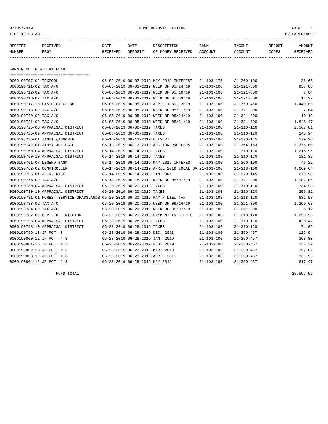or of the state of the state of the state of the state of the state of the state of the state of the state of the state of the state of the state of the state of the state of the state of the state of the state of the stat

| RECEIPT | <b>RECEIVED</b> | DATE            | DATE    | DESCRIPTION       | <b>BANK</b> | INCOME  | REPORT | AMOUNT          |
|---------|-----------------|-----------------|---------|-------------------|-------------|---------|--------|-----------------|
| NUMBER  | FROM            | <b>RECEIVED</b> | DEPOSIT | OF MONEY RECEIVED | ACCOUNT     | ACCOUNT | CODES  | <b>RECEIVED</b> |
|         |                 |                 |         |                   |             |         |        |                 |

FANNIN CO. R & B #1 FUND

| =====================================                                        |                                  |                                 |                                                      |                  |                  |          |
|------------------------------------------------------------------------------|----------------------------------|---------------------------------|------------------------------------------------------|------------------|------------------|----------|
| 0000190707-02 TEXPOOL                                                        |                                  |                                 | 06-02-2019 06-02-2019 MAY 2019 INTEREST              | $21 - 103 - 175$ | $21 - 360 - 100$ | 36.65    |
| 0000190711-02 TAX A/C                                                        |                                  |                                 | 06-03-2019 06-03-2019 WEEK OF 05/24/19               | $21 - 103 - 100$ | $21 - 321 - 300$ | 957.86   |
| 0000190712-02 TAX A/C                                                        |                                  |                                 | 06-03-2019 06-03-2019 WEEK OF 05/10/19               | $21 - 103 - 100$ | $21 - 321 - 300$ | 2.04     |
| 0000190713-02 TAX A/C                                                        |                                  |                                 | 06-03-2019 06-03-2019 WEEK OF 05/03/19               | $21 - 103 - 100$ | $21 - 321 - 300$ | 14.27    |
| 0000190717-18 DISTRICT CLERK                                                 |                                  |                                 | 06-05-2019 06-05-2019 APRIL 1-30, 2019               | $21 - 103 - 100$ | $21 - 350 - 450$ | 1,449.83 |
| 0000190718-02 TAX A/C                                                        |                                  |                                 | 06-05-2019 06-05-2019 WEEK OF 05/17/19               | $21 - 103 - 100$ | $21 - 321 - 300$ | 2.04     |
| 0000190720-02 TAX A/C                                                        |                                  |                                 | 06-05-2019 06-05-2019 WEEK OF 05/24/19               | $21 - 103 - 100$ | $21 - 321 - 300$ | 10.19    |
| 0000190721-02 TAX A/C                                                        |                                  |                                 | 06-05-2019 06-05-2019 WEEK OF 05/31/19               | $21 - 103 - 100$ | $21 - 321 - 300$ | 1,848.47 |
| 0000190725-03 APPRAISAL DISTRICT                                             | 06-06-2019 06-06-2019 TAXES      |                                 |                                                      | $21 - 103 - 100$ | $21 - 310 - 110$ | 2,567.81 |
| 0000190725-09 APPRAISAL DISTRICT                                             | 06-06-2019 06-06-2019 TAXES      |                                 |                                                      | $21 - 103 - 100$ | $21 - 310 - 120$ | 248.94   |
| 0000190736-01 JANET WAGGONER                                                 |                                  | 06-13-2019 06-13-2019 CULVERT   |                                                      | $21 - 103 - 100$ | $21 - 370 - 145$ | 179.28   |
| 0000190742-01 JIMMY JOE PAGE                                                 |                                  |                                 | 06-13-2019 06-13-2019 AUCTION PROCEEDS               | $21 - 103 - 100$ | $21 - 364 - 163$ | 3,375.00 |
| 0000190760-04 APPRAISAL DISTRICT                                             |                                  | 06-14-2019 06-14-2019 TAXES     |                                                      | $21 - 103 - 100$ | $21 - 310 - 110$ | 1,215.95 |
| 0000190760-10 APPRAISAL DISTRICT                                             | 06-14-2019 06-14-2019 TAXES      |                                 |                                                      | $21 - 103 - 100$ | $21 - 310 - 120$ | 181.32   |
| 0000190761-07 LEGEND BANK                                                    |                                  |                                 | 06-14-2019 06-14-2019 MAY 2019 INTEREST              | $21 - 103 - 100$ | $21 - 360 - 100$ | 46.22    |
| 0000190762-02 COMPTROLLER                                                    |                                  |                                 | 06-14-2019 06-14-2019 APRIL 2019 LOCAL SA 21-103-100 |                  | $21 - 318 - 160$ | 4,669.64 |
| 0000190765-01 J. R. RICE                                                     | 06-14-2019 06-14-2019 TIN HORN   |                                 |                                                      | $21 - 103 - 100$ | $21 - 370 - 145$ | 279.90   |
| 0000190776-02 TAX A/C                                                        |                                  |                                 | 06-18-2019 06-18-2019 WEEK OF 06/07/19               | $21 - 103 - 100$ | $21 - 321 - 300$ | 1,987.05 |
| 0000190780-04 APPRAISAL DISTRICT                                             | 06-20-2019 06-20-2019 TAXES      |                                 |                                                      | $21 - 103 - 100$ | $21 - 310 - 110$ | 734.93   |
| 0000190780-10 APPRAISAL DISTRICT                                             |                                  | 06-20-2019 06-20-2019 TAXES     |                                                      | $21 - 103 - 100$ | $21 - 310 - 120$ | 256.82   |
| 0000190781-01 FOREST SERVICE-GRASSLANDS 06-20-2019 06-20-2019 PAY N LIEU TAX |                                  |                                 |                                                      | $21 - 103 - 100$ | $21 - 318 - 120$ | 632.58   |
| 0000190783-02 TAX A/C                                                        |                                  |                                 | 06-20-2019 06-20-2019 WEEK OF 06/14/19               | $21 - 103 - 100$ | $21 - 321 - 300$ | 1,269.68 |
| 0000190784-02 TAX A/C                                                        |                                  |                                 | 06-20-2019 06-20-2019 WEEK OF 06/07/19               | $21 - 103 - 100$ | $21 - 321 - 300$ | 6.12     |
| 0000190787-02 DEPT. OF INTERIOR                                              |                                  |                                 | 06-21-2019 06-21-2019 PAYMENT IN LIEU OF             | 21-103-100       | $21 - 318 - 120$ | 1,093.95 |
| 0000190798-04 APPRAISAL DISTRICT                                             | 06-28-2019 06-28-2019 TAXES      |                                 |                                                      | $21 - 103 - 100$ | $21 - 310 - 110$ | 420.42   |
| 0000190798-10 APPRAISAL DISTRICT                                             | 06-28-2019 06-28-2019 TAXES      |                                 |                                                      | $21 - 103 - 100$ | $21 - 310 - 120$ | 74.09    |
| 0000190799-13 JP PCT. 3                                                      |                                  | 06-28-2019 06-28-2019 DEC. 2018 |                                                      | $21 - 103 - 100$ | $21 - 350 - 457$ | 122.94   |
| 0000190800-12 JP PCT. # 3                                                    | 06-28-2019 06-28-2019 JAN. 2019  |                                 |                                                      | $21 - 103 - 100$ | $21 - 350 - 457$ | 368.80   |
| 0000190801-13 JP PCT. # 3                                                    | 06-28-2019 06-28-2019 FEB. 2019  |                                 |                                                      | $21 - 103 - 100$ | $21 - 350 - 457$ | 238.32   |
| 0000190802-13 JP PCT. # 3                                                    | 06-28-2019 06-28-2019 MAR. 2019  |                                 |                                                      | 21-103-100       | $21 - 350 - 457$ | 357.02   |
| 0000190803-12 JP PCT. # 3                                                    | 06-28-2019 06-28-2019 APRIL 2019 |                                 |                                                      | $21 - 103 - 100$ | $21 - 350 - 457$ | 331.95   |
| 0000190804-12 JP PCT. # 3                                                    | 06-28-2019 06-28-2019 MAY 2019   |                                 |                                                      | $21 - 103 - 100$ | $21 - 350 - 457$ | 617.47   |

FUND TOTAL 25,597.55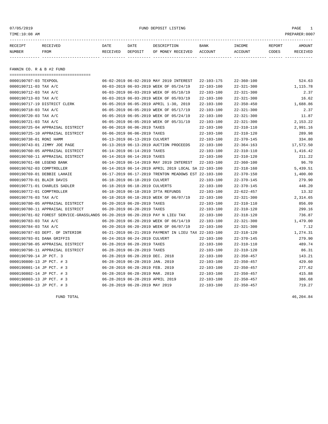or of the state of the state of the state of the state of the state of the state of the state of the state of the state of the state of the state of the state of the state of the state of the state of the state of the stat

| RECEIPT | <b>RECEIVED</b> | DATE            | DATE    | DESCRIPTION       | <b>BANK</b> | <b>TNCOME</b> | REPORT | AMOUNT          |
|---------|-----------------|-----------------|---------|-------------------|-------------|---------------|--------|-----------------|
| NUMBER  | FROM            | <b>RECEIVED</b> | DEPOSIT | OF MONEY RECEIVED | ACCOUNT     | ACCOUNT       | CODES  | <b>RECEIVED</b> |
|         |                 |                 |         |                   |             |               |        |                 |

FANNIN CO. R & B #2 FUND

| =====================================                                        |                                 |                                                      |                  |                  |           |
|------------------------------------------------------------------------------|---------------------------------|------------------------------------------------------|------------------|------------------|-----------|
| 0000190707-03 TEXPOOL                                                        |                                 | 06-02-2019 06-02-2019 MAY 2019 INTEREST              | $22 - 103 - 175$ | $22 - 360 - 100$ | 524.63    |
| 0000190711-03 TAX A/C                                                        |                                 | 06-03-2019 06-03-2019 WEEK OF 05/24/19               | $22 - 103 - 100$ | $22 - 321 - 300$ | 1,115.78  |
| 0000190712-03 TAX A/C                                                        |                                 | 06-03-2019 06-03-2019 WEEK OF 05/10/19               | $22 - 103 - 100$ | $22 - 321 - 300$ | 2.37      |
| 0000190713-03 TAX A/C                                                        |                                 | 06-03-2019 06-03-2019 WEEK OF 05/03/19               | $22 - 103 - 100$ | $22 - 321 - 300$ | 16.62     |
| 0000190717-19 DISTRICT CLERK                                                 |                                 | 06-05-2019 06-05-2019 APRIL 1-30, 2019               | $22 - 103 - 100$ | $22 - 350 - 450$ | 1,688.86  |
| 0000190718-03 TAX A/C                                                        |                                 | 06-05-2019 06-05-2019 WEEK OF 05/17/19               | $22 - 103 - 100$ | $22 - 321 - 300$ | 2.37      |
| 0000190720-03 TAX A/C                                                        |                                 | 06-05-2019 06-05-2019 WEEK OF 05/24/19               | $22 - 103 - 100$ | $22 - 321 - 300$ | 11.87     |
| 0000190721-03 TAX A/C                                                        |                                 | 06-05-2019 06-05-2019 WEEK OF 05/31/19               | $22 - 103 - 100$ | $22 - 321 - 300$ | 2,153.22  |
| 0000190725-04 APPRAISAL DISTRICT                                             | 06-06-2019 06-06-2019 TAXES     |                                                      | $22 - 103 - 100$ | $22 - 310 - 110$ | 2,991.16  |
| 0000190725-10 APPRAISAL DISTRICT                                             | 06-06-2019 06-06-2019 TAXES     |                                                      | $22 - 103 - 100$ | $22 - 310 - 120$ | 289.98    |
| 0000190738-01 RONI HAMM                                                      | 06-13-2019 06-13-2019 CULVERT   |                                                      | $22 - 103 - 100$ | $22 - 370 - 145$ | 334.80    |
| 0000190743-01 JIMMY JOE PAGE                                                 |                                 | 06-13-2019 06-13-2019 AUCTION PROCEEDS               | $22 - 103 - 100$ | $22 - 364 - 163$ | 17,572.50 |
| 0000190760-05 APPRAISAL DISTRICT                                             | 06-14-2019 06-14-2019 TAXES     |                                                      | $22 - 103 - 100$ | $22 - 310 - 110$ | 1,416.42  |
| 0000190760-11 APPRAISAL DISTRICT                                             | 06-14-2019 06-14-2019 TAXES     |                                                      | $22 - 103 - 100$ | $22 - 310 - 120$ | 211.22    |
| 0000190761-08 LEGEND BANK                                                    |                                 | 06-14-2019 06-14-2019 MAY 2019 INTEREST              | $22 - 103 - 100$ | $22 - 360 - 100$ | 96.70     |
| 0000190762-03 COMPTROLLER                                                    |                                 | 06-14-2019 06-14-2019 APRIL 2019 LOCAL SA 22-103-100 |                  | $22 - 318 - 160$ | 5,439.51  |
| 0000190769-01 DEBBIE LAHAIE                                                  |                                 | 06-17-2019 06-17-2019 TRENTON MEADOWS EST 22-103-100 |                  | $22 - 370 - 150$ | 1,400.00  |
| 0000190770-01 BLAIR DAVIS                                                    | 06-18-2019 06-18-2019 CULVERT   |                                                      | $22 - 103 - 100$ | $22 - 370 - 145$ | 279.90    |
| 0000190771-01 CHARLES SADLER                                                 | 06-18-2019 06-18-2019 CULVERTS  |                                                      | $22 - 103 - 100$ | $22 - 370 - 145$ | 448.20    |
| 0000190772-01 COMPTROLLER                                                    |                                 | 06-18-2019 06-18-2019 IFTA REFUNDS                   | $22 - 103 - 100$ | $22 - 622 - 457$ | 13.32     |
| 0000190776-03 TAX A/C                                                        |                                 | 06-18-2019 06-18-2019 WEEK OF 06/07/19               | $22 - 103 - 100$ | $22 - 321 - 300$ | 2,314.65  |
| 0000190780-05 APPRAISAL DISTRICT                                             | 06-20-2019 06-20-2019 TAXES     |                                                      | $22 - 103 - 100$ | $22 - 310 - 110$ | 856.09    |
| 0000190780-11 APPRAISAL DISTRICT                                             | 06-20-2019 06-20-2019 TAXES     |                                                      | $22 - 103 - 100$ | $22 - 310 - 120$ | 299.16    |
| 0000190781-02 FOREST SERVICE-GRASSLANDS 06-20-2019 06-20-2019 PAY N LIEU TAX |                                 |                                                      | $22 - 103 - 100$ | $22 - 318 - 120$ | 736.87    |
| 0000190783-03 TAX A/C                                                        |                                 | 06-20-2019 06-20-2019 WEEK OF 06/14/19               | $22 - 103 - 100$ | $22 - 321 - 300$ | 1,479.00  |
| 0000190784-03 TAX A/C                                                        |                                 | 06-20-2019 06-20-2019 WEEK OF 06/07/19               | $22 - 103 - 100$ | $22 - 321 - 300$ | 7.12      |
| 0000190787-03 DEPT. OF INTERIOR                                              |                                 | 06-21-2019 06-21-2019 PAYMENT IN LIEU TAX 22-103-100 |                  | $22 - 318 - 120$ | 1,274.31  |
| 0000190793-01 DANA GRIFFIS                                                   | 06-24-2019 06-24-2019 CULVERT   |                                                      | $22 - 103 - 100$ | $22 - 370 - 145$ | 279.90    |
| 0000190798-05 APPRAISAL DISTRICT                                             | 06-28-2019 06-28-2019 TAXES     |                                                      | $22 - 103 - 100$ | $22 - 310 - 110$ | 489.74    |
| 0000190798-11 APPRAISAL DISTRICT                                             | 06-28-2019 06-28-2019 TAXES     |                                                      | $22 - 103 - 100$ | $22 - 310 - 120$ | 86.31     |
| 0000190799-14 JP PCT. 3                                                      | 06-28-2019 06-28-2019 DEC. 2018 |                                                      | $22 - 103 - 100$ | $22 - 350 - 457$ | 143.21    |
| 0000190800-13 JP PCT. # 3                                                    | 06-28-2019 06-28-2019 JAN. 2019 |                                                      | $22 - 103 - 100$ | $22 - 350 - 457$ | 429.60    |
| 0000190801-14 JP PCT. # 3                                                    | 06-28-2019 06-28-2019 FEB. 2019 |                                                      | $22 - 103 - 100$ | $22 - 350 - 457$ | 277.62    |
| 0000190802-14 JP PCT. # 3                                                    | 06-28-2019 06-28-2019 MAR. 2019 |                                                      | $22 - 103 - 100$ | $22 - 350 - 457$ | 415.88    |
| 0000190803-13 JP PCT. # 3                                                    |                                 | 06-28-2019 06-28-2019 APRIL 2019                     | $22 - 103 - 100$ | $22 - 350 - 457$ | 386.68    |
| 0000190804-13 JP PCT. # 3                                                    | 06-28-2019 06-28-2019 MAY 2019  |                                                      | $22 - 103 - 100$ | $22 - 350 - 457$ | 719.27    |

FUND TOTAL 46,204.84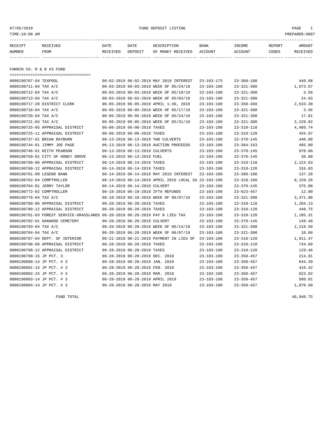or of the state of the state of the state of the state of the state of the state of the state of the state of the state of the state of the state of the state of the state of the state of the state of the state of the stat

| RECEIPT | <b>RECEIVED</b> | DATE            | DATE    | DESCRIPTION       | <b>BANK</b> | INCOME  | REPORT | AMOUNT          |
|---------|-----------------|-----------------|---------|-------------------|-------------|---------|--------|-----------------|
| NUMBER  | FROM            | <b>RECEIVED</b> | DEPOSIT | OF MONEY RECEIVED | ACCOUNT     | ACCOUNT | CODES  | <b>RECEIVED</b> |
|         |                 |                 |         |                   |             |         |        |                 |

FANNIN CO. R & B #3 FUND

| =====================================                                        |                                  |                                                      |                  |                  |          |
|------------------------------------------------------------------------------|----------------------------------|------------------------------------------------------|------------------|------------------|----------|
| 0000190707-04 TEXPOOL                                                        |                                  | 06-02-2019 06-02-2019 MAY 2019 INTEREST              | $23 - 103 - 175$ | $23 - 360 - 100$ | 440.08   |
| 0000190711-04 TAX A/C                                                        |                                  | 06-03-2019 06-03-2019 WEEK OF 05/24/19               | $23 - 103 - 100$ | $23 - 321 - 300$ | 1,673.67 |
| 0000190712-04 TAX A/C                                                        |                                  | 06-03-2019 06-03-2019 WEEK OF 05/10/19               | $23 - 103 - 100$ | $23 - 321 - 300$ | 3.56     |
| 0000190713-04 TAX A/C                                                        |                                  | 06-03-2019 06-03-2019 WEEK OF 05/03/19               | $23 - 103 - 100$ | $23 - 321 - 300$ | 24.93    |
| 0000190717-20 DISTRICT CLERK                                                 |                                  | 06-05-2019 06-05-2019 APRIL 1-30, 2019               | $23 - 103 - 100$ | $23 - 350 - 450$ | 2,533.30 |
| 0000190718-04 TAX A/C                                                        |                                  | 06-05-2019 06-05-2019 WEEK OF 05/17/19               | $23 - 103 - 100$ | $23 - 321 - 300$ | 3.56     |
| 0000190720-04 TAX A/C                                                        |                                  | 06-05-2019 06-05-2019 WEEK OF 05/24/19               | $23 - 103 - 100$ | $23 - 321 - 300$ | 17.81    |
| 0000190721-04 TAX A/C                                                        |                                  | 06-05-2019 06-05-2019 WEEK OF 05/31/19               | $23 - 103 - 100$ | $23 - 321 - 300$ | 3,229.82 |
| 0000190725-05 APPRAISAL DISTRICT                                             | 06-06-2019 06-06-2019 TAXES      |                                                      | $23 - 103 - 100$ | $23 - 310 - 110$ | 4,486.74 |
| 0000190725-11 APPRAISAL DISTRICT                                             | 06-06-2019 06-06-2019 TAXES      |                                                      | $23 - 103 - 100$ | $23 - 310 - 120$ | 434.97   |
| 0000190737-01 BRIAN RAYBURN                                                  |                                  | 06-13-2019 06-13-2019 TWO CULVERTS                   | $23 - 103 - 100$ | $23 - 370 - 145$ | 440.00   |
| 0000190744-01 JIMMY JOE PAGE                                                 |                                  | 06-13-2019 06-13-2019 AUCTION PROCEEDS               | $23 - 103 - 100$ | $23 - 364 - 163$ | 495.00   |
| 0000190746-01 KEITH PEARSON                                                  | 06-13-2019 06-13-2019 CULVERTS   |                                                      | $23 - 103 - 100$ | $23 - 370 - 145$ | 970.00   |
| 0000190759-01 CITY OF HONEY GROVE                                            | 06-13-2019 06-13-2019 FUEL       |                                                      | $23 - 103 - 100$ | $23 - 370 - 145$ | 38.88    |
| 0000190760-06 APPRAISAL DISTRICT                                             | 06-14-2019 06-14-2019 TAXES      |                                                      | $23 - 103 - 100$ | $23 - 310 - 110$ | 2,124.63 |
| 0000190760-12 APPRAISAL DISTRICT                                             | 06-14-2019 06-14-2019 TAXES      |                                                      | $23 - 103 - 100$ | $23 - 310 - 120$ | 316.83   |
| 0000190761-09 LEGEND BANK                                                    |                                  | 06-14-2019 06-14-2019 MAY 2019 INTEREST              | $23 - 103 - 100$ | $23 - 360 - 100$ | 137.28   |
| 0000190762-04 COMPTROLLER                                                    |                                  | 06-14-2019 06-14-2019 APRIL 2019 LOCAL SA 23-103-100 |                  | $23 - 318 - 160$ | 8,159.26 |
| 0000190764-01 JERRY TAYLOR                                                   | 06-14-2019 06-14-2019 CULVERT    |                                                      | $23 - 103 - 100$ | $23 - 370 - 145$ | 375.00   |
| 0000190772-02 COMPTROLLER                                                    |                                  | 06-18-2019 06-18-2019 IFTA REFUNDS                   | $23 - 103 - 100$ | $23 - 623 - 457$ | 12.80    |
| 0000190776-04 TAX A/C                                                        |                                  | 06-18-2019 06-18-2019 WEEK OF 06/07/19               | $23 - 103 - 100$ | $23 - 321 - 300$ | 3,471.98 |
| 0000190780-06 APPRAISAL DISTRICT                                             | 06-20-2019 06-20-2019 TAXES      |                                                      | $23 - 103 - 100$ | $23 - 310 - 110$ | 1,284.13 |
| 0000190780-12 APPRAISAL DISTRICT                                             | 06-20-2019 06-20-2019 TAXES      |                                                      | $23 - 103 - 100$ | $23 - 310 - 120$ | 448.75   |
| 0000190781-03 FOREST SERVICE-GRASSLANDS 06-20-2019 06-20-2019 PAY N LIEU TAX |                                  |                                                      | $23 - 103 - 100$ | $23 - 318 - 120$ | 1,105.31 |
| 0000190782-01 OAKWOOD CEMETERY                                               | 06-20-2019 06-20-2019 CULVERT    |                                                      | $23 - 103 - 100$ | $23 - 370 - 145$ | 149.40   |
| 0000190783-04 TAX A/C                                                        |                                  | 06-20-2019 06-20-2019 WEEK OF 06/14/19               | $23 - 103 - 100$ | $23 - 321 - 300$ | 2,218.50 |
| 0000190784-04 TAX A/C                                                        |                                  | 06-20-2019 06-20-2019 WEEK OF 06/07/19               | $23 - 103 - 100$ | $23 - 321 - 300$ | 10.68    |
| 0000190787-04 DEPT. OF INTERIOR                                              |                                  | 06-21-2019 06-21-2019 PAYMENT IN LIEU OF             | $23 - 103 - 100$ | $23 - 318 - 120$ | 1,911.47 |
| 0000190798-06 APPRAISAL DISTRICT                                             | 06-28-2019 06-28-2019 TAXES      |                                                      | $23 - 103 - 100$ | $23 - 310 - 110$ | 734.60   |
| 0000190798-12 APPRAISAL DISTRICT                                             | 06-28-2019 06-28-2019 TAXES      |                                                      | $23 - 103 - 100$ | $23 - 310 - 120$ | 129.46   |
| 0000190799-15 JP PCT. 3                                                      | 06-28-2019 06-28-2019 DEC. 2018  |                                                      | $23 - 103 - 100$ | $23 - 350 - 457$ | 214.81   |
| 0000190800-14 JP PCT. # 3                                                    | 06-28-2019 06-28-2019 JAN. 2019  |                                                      | $23 - 103 - 100$ | $23 - 350 - 457$ | 644.39   |
| 0000190801-15 JP PCT. # 3                                                    | 06-28-2019 06-28-2019 FEB. 2019  |                                                      | $23 - 103 - 100$ | $23 - 350 - 457$ | 416.42   |
| 0000190802-15 JP PCT. # 3                                                    | 06-28-2019 06-28-2019 MAR. 2019  |                                                      | $23 - 103 - 100$ | $23 - 350 - 457$ | 623.82   |
| 0000190803-14 JP PCT. # 3                                                    | 06-28-2019 06-28-2019 APRIL 2019 |                                                      | $23 - 103 - 100$ | $23 - 350 - 457$ | 580.01   |
| 0000190804-14 JP PCT. # 3                                                    | 06-28-2019 06-28-2019 MAY 2019   |                                                      | $23 - 103 - 100$ | $23 - 350 - 457$ | 1,078.90 |

FUND TOTAL  $40,940.75$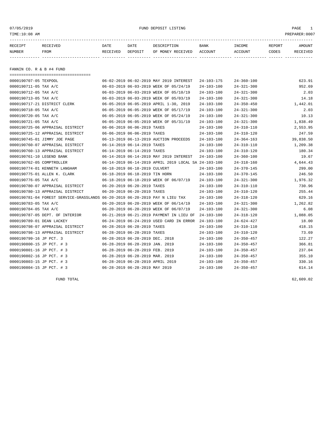07/05/2019 FUND DEPOSIT LISTING PAGE 1

| RECEIPT | RECEIVED | DATE     | DATE    | DESCRIPTION       | <b>BANK</b> | <b>INCOME</b> | <b>REPORT</b> | <b>AMOUNT</b>   |
|---------|----------|----------|---------|-------------------|-------------|---------------|---------------|-----------------|
| NUMBER  | FROM     | RECEIVED | DEPOSIT | OF MONEY RECEIVED | ACCOUNT     | ACCOUNT       | CODES         | <b>RECEIVED</b> |
|         |          |          |         |                   |             |               |               |                 |

FANNIN CO. R & B #4 FUND

===================================

| 0000190707-05 TEXPOOL                                                        |                                  | 06-02-2019 06-02-2019 MAY 2019 INTEREST              | 24-103-175       | $24 - 360 - 100$ | 623.91    |
|------------------------------------------------------------------------------|----------------------------------|------------------------------------------------------|------------------|------------------|-----------|
| 0000190711-05 TAX A/C                                                        |                                  | 06-03-2019 06-03-2019 WEEK OF 05/24/19               | $24 - 103 - 100$ | $24 - 321 - 300$ | 952.69    |
| 0000190712-05 TAX A/C                                                        |                                  | 06-03-2019 06-03-2019 WEEK OF 05/10/19               | $24 - 103 - 100$ | $24 - 321 - 300$ | 2.03      |
| 0000190713-05 TAX A/C                                                        |                                  | 06-03-2019 06-03-2019 WEEK OF 05/03/19               | $24 - 103 - 100$ | $24 - 321 - 300$ | 14.18     |
| 0000190717-21 DISTRICT CLERK                                                 |                                  | 06-05-2019 06-05-2019 APRIL 1-30, 2019               | 24-103-100       | $24 - 350 - 450$ | 1,442.01  |
| 0000190718-05 TAX A/C                                                        |                                  | 06-05-2019 06-05-2019 WEEK OF 05/17/19               | $24 - 103 - 100$ | $24 - 321 - 300$ | 2.03      |
| 0000190720-05 TAX A/C                                                        |                                  | 06-05-2019 06-05-2019 WEEK OF 05/24/19               | $24 - 103 - 100$ | $24 - 321 - 300$ | 10.13     |
| 0000190721-05 TAX A/C                                                        |                                  | 06-05-2019 06-05-2019 WEEK OF 05/31/19               | 24-103-100       | $24 - 321 - 300$ | 1,838.49  |
| 0000190725-06 APPRAISAL DISTRICT                                             | 06-06-2019 06-06-2019 TAXES      |                                                      | 24-103-100       | $24 - 310 - 110$ | 2,553.95  |
| 0000190725-12 APPRAISAL DISTRICT                                             | 06-06-2019 06-06-2019 TAXES      |                                                      | $24 - 103 - 100$ | $24 - 310 - 120$ | 247.59    |
| 0000190745-01 JIMMY JOE PAGE                                                 |                                  | 06-13-2019 06-13-2019 AUCTION PROCEEDS               | $24 - 103 - 100$ | $24 - 364 - 163$ | 39,838.50 |
| 0000190760-07 APPRAISAL DISTRICT                                             | 06-14-2019 06-14-2019 TAXES      |                                                      | $24 - 103 - 100$ | $24 - 310 - 110$ | 1,209.38  |
| 0000190760-13 APPRAISAL DISTRICT                                             | 06-14-2019 06-14-2019 TAXES      |                                                      | $24 - 103 - 100$ | $24 - 310 - 120$ | 180.34    |
| 0000190761-10 LEGEND BANK                                                    |                                  | 06-14-2019 06-14-2019 MAY 2019 INTEREST              | $24 - 103 - 100$ | $24 - 360 - 100$ | 19.67     |
| 0000190762-05 COMPTROLLER                                                    |                                  | 06-14-2019 06-14-2019 APRIL 2019 LOCAL SA 24-103-100 |                  | $24 - 318 - 160$ | 4,644.43  |
| 0000190774-01 KENNETH LANGHAM                                                | 06-18-2019 06-18-2019 CULVERT    |                                                      | 24-103-100       | $24 - 370 - 145$ | 299.00    |
| 0000190775-01 ALLEN K. CLARK                                                 | 06-18-2019 06-18-2019 TIN HORN   |                                                      | $24 - 103 - 100$ | $24 - 370 - 145$ | 246.50    |
| 0000190776-05 TAX A/C                                                        |                                  | 06-18-2019 06-18-2019 WEEK OF 06/07/19               | $24 - 103 - 100$ | $24 - 321 - 300$ | 1,976.32  |
| 0000190780-07 APPRAISAL DISTRICT                                             | 06-20-2019 06-20-2019 TAXES      |                                                      | $24 - 103 - 100$ | $24 - 310 - 110$ | 730.96    |
| 0000190780-13 APPRAISAL DISTRICT                                             | 06-20-2019 06-20-2019 TAXES      |                                                      | $24 - 103 - 100$ | $24 - 310 - 120$ | 255.44    |
| 0000190781-04 FOREST SERVICE-GRASSLANDS 06-20-2019 06-20-2019 PAY N LIEU TAX |                                  |                                                      | $24 - 103 - 100$ | $24 - 318 - 120$ | 629.16    |
| 0000190783-05 TAX A/C                                                        |                                  | 06-20-2019 06-20-2019 WEEK OF 06/14/19               | $24 - 103 - 100$ | $24 - 321 - 300$ | 1,262.82  |
| 0000190784-05 TAX A/C                                                        |                                  | 06-20-2019 06-20-2019 WEEK OF 06/07/19               | $24 - 103 - 100$ | $24 - 321 - 300$ | 6.08      |
| 0000190787-05 DEPT. OF INTERIOR                                              |                                  | 06-21-2019 06-21-2019 PAYMENT IN LIEU OF             | $24 - 103 - 100$ | $24 - 318 - 120$ | 1,088.05  |
| 0000190789-01 DEAN LACKEY                                                    |                                  | 06-24-2019 06-24-2019 USED CARD IN ERROR             | $24 - 103 - 100$ | $24 - 624 - 427$ | 18.00     |
| 0000190798-07 APPRAISAL DISTRICT                                             | 06-28-2019 06-28-2019 TAXES      |                                                      | 24-103-100       | $24 - 310 - 110$ | 418.15    |
| 0000190798-13 APPRAISAL DISTRICT                                             | 06-28-2019 06-28-2019 TAXES      |                                                      | $24 - 103 - 100$ | $24 - 310 - 120$ | 73.69     |
| 0000190799-16 JP PCT. 3                                                      | 06-28-2019 06-28-2019 DEC. 2018  |                                                      | $24 - 103 - 100$ | $24 - 350 - 457$ | 122.27    |
| 0000190800-15 JP PCT. # 3                                                    | 06-28-2019 06-28-2019 JAN. 2019  |                                                      | $24 - 103 - 100$ | $24 - 350 - 457$ | 366.81    |
| 0000190801-16 JP PCT. # 3                                                    | 06-28-2019 06-28-2019 FEB. 2019  |                                                      | $24 - 103 - 100$ | $24 - 350 - 457$ | 237.04    |
| 0000190802-16 JP PCT. # 3                                                    | 06-28-2019 06-28-2019 MAR. 2019  |                                                      | $24 - 103 - 100$ | $24 - 350 - 457$ | 355.10    |
| 0000190803-15 JP PCT. # 3                                                    | 06-28-2019 06-28-2019 APRIL 2019 |                                                      | $24 - 103 - 100$ | $24 - 350 - 457$ | 330.16    |
| 0000190804-15 JP PCT. # 3                                                    | 06-28-2019 06-28-2019 MAY 2019   |                                                      | $24 - 103 - 100$ | $24 - 350 - 457$ | 614.14    |
|                                                                              |                                  |                                                      |                  |                  |           |

FUND TOTAL 62,609.02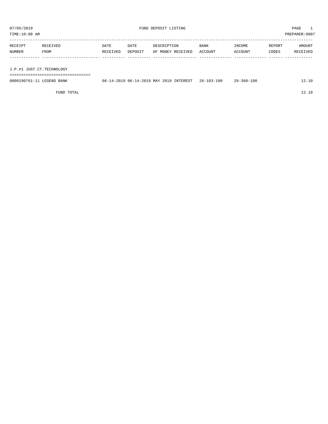TIME:10:08 AM PREPARER:0007

| RECEIPT | RECEIVED | DATE     | DATE    | DESCRIPTION       | <b>BANK</b> | INCOME  | REPORT | AMOUNT   |
|---------|----------|----------|---------|-------------------|-------------|---------|--------|----------|
| NUMBER  | FROM     | RECEIVED | DEPOSIT | OF MONEY RECEIVED | ACCOUNT     | ACCOUNT | CODES  | RECEIVED |
|         |          |          |         |                   |             |         |        |          |
|         |          |          |         |                   |             |         |        |          |

J.P.#1 JUST.CT.TECHNOLOGY

===================================

| 0000190761-11 LEGEND BANK | 06-14-2019 06-14-2019 MAY 2019 INTEREST 26-103-100 | $26 - 360 - 100$ | 12.10 |
|---------------------------|----------------------------------------------------|------------------|-------|
|                           |                                                    |                  |       |

FUND TOTAL 2.10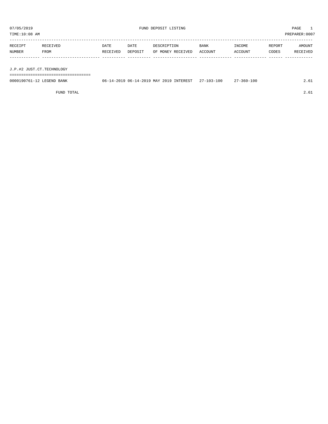TIME:10:08 AM PREPARER:0007

| RECEIPT | RECEIVED | DATE     | DATE    | DESCRIPTION       | <b>BANK</b> | INCOME  | REPORT | AMOUNT   |
|---------|----------|----------|---------|-------------------|-------------|---------|--------|----------|
| NUMBER  | FROM     | RECEIVED | DEPOSIT | OF MONEY RECEIVED | ACCOUNT     | ACCOUNT | CODES  | RECEIVED |
|         |          |          |         |                   |             |         |        |          |
|         |          |          |         |                   |             |         |        |          |
|         |          |          |         |                   |             |         |        |          |

J.P.#2 JUST.CT.TECHNOLOGY

===================================

| 0000190761-12<br><b>LEGEND</b><br>BANK | <b>TNTEREST</b><br>, 06-14-2019 MAY<br>2019<br>2019<br>() 6 - | $-103 - 100$<br>$\cap$ | -360-100 |  |
|----------------------------------------|---------------------------------------------------------------|------------------------|----------|--|
|                                        |                                                               |                        |          |  |

FUND TOTAL 2.61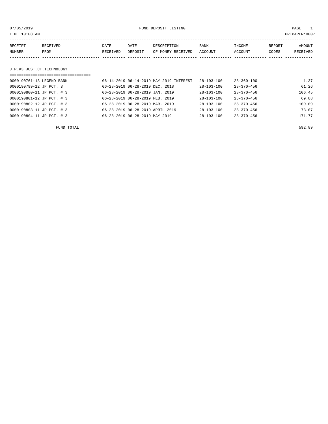or of the state of the state of the state of the state of the state of the state of the state of the state of the state of the state of the state of the state of the state of the state of the state of the state of the stat

| RECEIPT | <b>RECEIVED</b> | DATE     | DATE    | DESCRIPTION       | BANK    | INCOME  | <b>REPORT</b> | AMOUNT   |
|---------|-----------------|----------|---------|-------------------|---------|---------|---------------|----------|
| NUMBER  | FROM            | RECEIVED | DEPOSIT | OF MONEY RECEIVED | ACCOUNT | ACCOUNT | CODES         | RECEIVED |
|         |                 |          |         |                   |         |         |               |          |

# J.P.#3 JUST.CT.TECHNOLOGY

| ================================= |                                         |                  |                  |        |
|-----------------------------------|-----------------------------------------|------------------|------------------|--------|
| 0000190761-13 LEGEND BANK         | 06-14-2019 06-14-2019 MAY 2019 INTEREST | $28 - 103 - 100$ | $28 - 360 - 100$ | 1.37   |
| 0000190799-12 JP PCT. 3           | 06-28-2019 06-28-2019 DEC. 2018         | $28 - 103 - 100$ | $28 - 370 - 456$ | 61.26  |
| 0000190800-11 JP PCT. # 3         | 06-28-2019 06-28-2019 JAN. 2019         | $28 - 103 - 100$ | $28 - 370 - 456$ | 106.45 |
| 0000190801-12 JP PCT. # 3         | 06-28-2019 06-28-2019 FEB. 2019         | $28 - 103 - 100$ | $28 - 370 - 456$ | 69.88  |
| 0000190802-12 JP PCT. # 3         | 06-28-2019 06-28-2019 MAR. 2019         | $28 - 103 - 100$ | $28 - 370 - 456$ | 109.09 |
| 0000190803-11 JP PCT. # 3         | 06-28-2019 06-28-2019 APRIL 2019        | $28 - 103 - 100$ | $28 - 370 - 456$ | 73.07  |
| 0000190804-11 JP PCT. # 3         | 06-28-2019 06-28-2019 MAY 2019          | $28 - 103 - 100$ | $28 - 370 - 456$ | 171.77 |

FUND TOTAL 592.89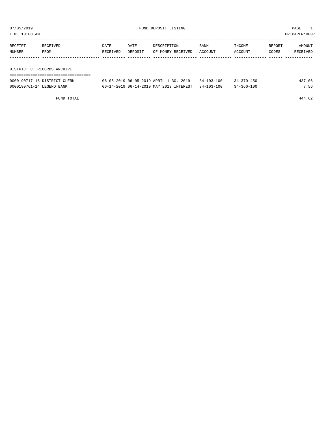TIME:10:08 AM PREPARER:0007

| RECEIPT | RECEIVED                    | DATE     | DATE    | DESCRIPTION       | <b>BANK</b> | INCOME  | REPORT | AMOUNT   |
|---------|-----------------------------|----------|---------|-------------------|-------------|---------|--------|----------|
| NUMBER  | FROM                        | RECEIVED | DEPOSIT | OF MONEY RECEIVED | ACCOUNT     | ACCOUNT | CODES  | RECEIVED |
|         |                             |          |         |                   |             |         |        |          |
|         |                             |          |         |                   |             |         |        |          |
|         | DISTRICT CT.RECORDS ARCHIVE |          |         |                   |             |         |        |          |
|         |                             |          |         |                   |             |         |        |          |

| 0000190717-16 DISTRICT CLERK | $06-05-2019$ $06-05-2019$ APRIL $1-30$ , $2019$ 34-103-100 |                  | $34 - 370 - 450$ | 437.06 |
|------------------------------|------------------------------------------------------------|------------------|------------------|--------|
| 0000190761-14 LEGEND BANK    | 06-14-2019 06-14-2019 MAY 2019 INTEREST                    | $34 - 103 - 100$ | $34 - 360 - 100$ | 7.56   |

FUND TOTAL 444.62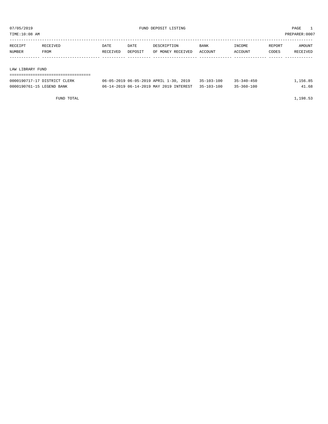TIME:10:08 AM PREPARER:0007

| RECEIPT                 | RECEIVED | DATE     | DATE    | DESCRIPTION       | <b>BANK</b> | INCOME  | REPORT | AMOUNT   |
|-------------------------|----------|----------|---------|-------------------|-------------|---------|--------|----------|
| NUMBER                  | FROM     | RECEIVED | DEPOSIT | OF MONEY RECEIVED | ACCOUNT     | ACCOUNT | CODES  | RECEIVED |
|                         |          |          |         |                   |             |         |        |          |
|                         |          |          |         |                   |             |         |        |          |
| חזהדים עם גם סדון ועוגן |          |          |         |                   |             |         |        |          |

LAW LIBRARY FUND

| -------------------------------------<br>-------------------------------------- |  |  |  |  |  |  |  |  |  |  |  |  |  |  |  |  |
|---------------------------------------------------------------------------------|--|--|--|--|--|--|--|--|--|--|--|--|--|--|--|--|
|                                                                                 |  |  |  |  |  |  |  |  |  |  |  |  |  |  |  |  |
|                                                                                 |  |  |  |  |  |  |  |  |  |  |  |  |  |  |  |  |

| 0000190717-17 DISTRICT CLERK | $06 - 05 - 2019$ $06 - 05 - 2019$ APRIL $1 - 30$ , 2019 $35 - 103 - 100$ | $35 - 340 - 450$ | 1,156.85 |
|------------------------------|--------------------------------------------------------------------------|------------------|----------|
| 0000190761-15 LEGEND BANK    | 06-14-2019 06-14-2019 MAY 2019 INTEREST 35-103-100                       | $35 - 360 - 100$ | 41.68    |

FUND TOTAL 1,198.53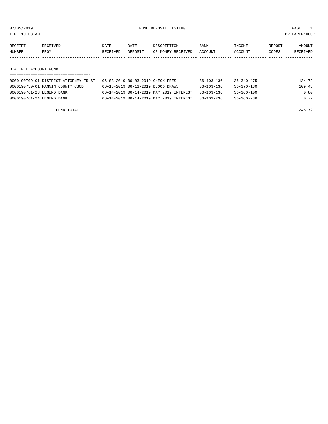TIME:10:08 AM PREPARER:0007

| RECEIPT | RECEIVED | DATE     | DATE    | DESCRIPTION       | <b>BANK</b> | INCOME  | REPORT | AMOUNT   |
|---------|----------|----------|---------|-------------------|-------------|---------|--------|----------|
| NUMBER  | FROM     | RECEIVED | DEPOSIT | OF MONEY RECEIVED | ACCOUNT     | ACCOUNT | CODES  | RECEIVED |
|         |          |          |         |                   |             |         |        |          |
|         |          |          |         |                   |             |         |        |          |

D.A. FEE ACCOUNT FUND

|                           | 0000190709-01 DISTRICT ATTORNEY TRUST | 06-03-2019 06-03-2019 CHECK FEES |                                         | $36 - 103 - 136$ | $36 - 340 - 475$ | 134.72 |
|---------------------------|---------------------------------------|----------------------------------|-----------------------------------------|------------------|------------------|--------|
|                           | 0000190750-01 FANNIN COUNTY CSCD      |                                  | 06-13-2019 06-13-2019 BLOOD DRAWS       | $36 - 103 - 136$ | $36 - 370 - 130$ | 109.43 |
| 0000190761-23 LEGEND BANK |                                       |                                  | 06-14-2019 06-14-2019 MAY 2019 INTEREST | $36 - 103 - 136$ | 36-360-100       | 0.80   |
| 0000190761-24 LEGEND BANK |                                       |                                  | 06-14-2019 06-14-2019 MAY 2019 INTEREST | 36-103-236       | 36-360-236       | 0.77   |

FUND TOTAL  $245.72$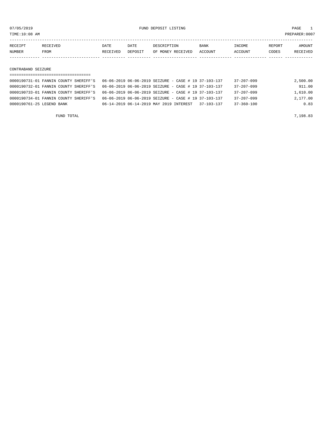07/05/2019 FUND DEPOSIT LISTING PAGE 1

| <b>RECEIPT</b> | <b>RECEIVED</b> | DATE            | DATE    | DESCRIPTION       | <b>BANK</b> | <b>TNCOME</b>  | REPORT | AMOUNT |
|----------------|-----------------|-----------------|---------|-------------------|-------------|----------------|--------|--------|
| <b>NUMBER</b>  | FROM            | <b>RECEIVED</b> | DEPOSIT | OF MONEY RECEIVED | ACCOUNT     | <b>ACCOUNT</b> | CODES  |        |
|                |                 |                 |         |                   |             |                |        |        |

CONTRABAND SEIZURE

# =================================== 0000190731-01 FANNIN COUNTY SHERIFF'S 06-06-2019 06-06-2019 SEIZURE - CASE # 19 37-103-137 37-207-099 2,500.00 0000190732-01 FANNIN COUNTY SHERIFF'S 06-06-2019 06-06-2019 SEIZURE - CASE # 19 37-103-137 37-207-099 911.00 0000190733-01 FANNIN COUNTY SHERIFF'S 06-06-2019 06-06-2019 SEIZURE - CASE # 19 37-103-137 37-207-099 1,610.00 0000190734-01 FANNIN COUNTY SHERIFF'S 06-06-2019 06-06-2019 SEIZURE - CASE # 19 37-103-137 37-207-099 2,177.00 0000190761-25 LEGEND BANK 06-14-2019 06-14-2019 MAY 2019 INTEREST 37-103-137 37-360-100 0.83

FUND TOTAL  $7,198.83$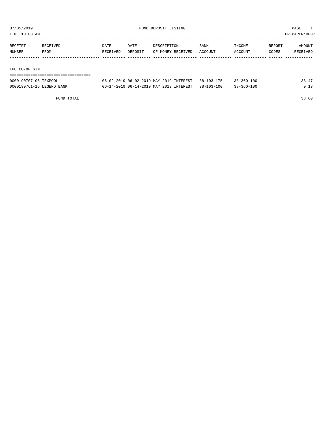TIME:10:08 AM PREPARER:0007

| <b>DATE</b><br><b>BANK</b><br>DATE<br>DESCRIPTION   | INCOME<br>REPORT | AMOUNT   |
|-----------------------------------------------------|------------------|----------|
| ACCOUNT<br>RECEIVED<br>OF MONEY RECEIVED<br>DEPOSIT | CODES<br>ACCOUNT | RECEIVED |
|                                                     |                  |          |
|                                                     |                  |          |
|                                                     |                  |          |

# IHC CO-OP GIN

| ---------------------------------- |                                                    |                  |       |
|------------------------------------|----------------------------------------------------|------------------|-------|
| 0000190707-06 TEXPOOL              | 06-02-2019 06-02-2019 MAY 2019 INTEREST 38-103-175 | $38 - 360 - 100$ | 38.47 |
| 0000190761-16 LEGEND BANK          | 06-14-2019 06-14-2019 MAY 2019 INTEREST 38-103-100 | $38 - 360 - 100$ | 0.13  |

FUND TOTAL 38.60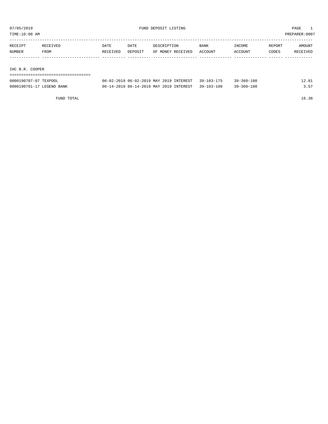TIME:10:08 AM PREPARER:0007

| RECEIPT | RECEIVED | DATE     | DATE    | DESCRIPTION       | <b>BANK</b> | INCOME  | REPORT | AMOUNT   |
|---------|----------|----------|---------|-------------------|-------------|---------|--------|----------|
| NUMBER  | FROM     | RECEIVED | DEPOSIT | OF MONEY RECEIVED | ACCOUNT     | ACCOUNT | CODES  | RECEIVED |
|         |          |          |         |                   |             |         |        |          |
|         |          |          |         |                   |             |         |        |          |

# IHC B.R. COOPER

| ---------------------------------- |                                                    |                  |       |
|------------------------------------|----------------------------------------------------|------------------|-------|
| 0000190707-07 TEXPOOL              | 06-02-2019 06-02-2019 MAY 2019 INTEREST 39-103-175 | $39 - 360 - 100$ | 12.81 |
| 0000190761-17 LEGEND BANK          | 06-14-2019 06-14-2019 MAY 2019 INTEREST 39-103-100 | $39 - 360 - 100$ | 3.57  |

FUND TOTAL 16.38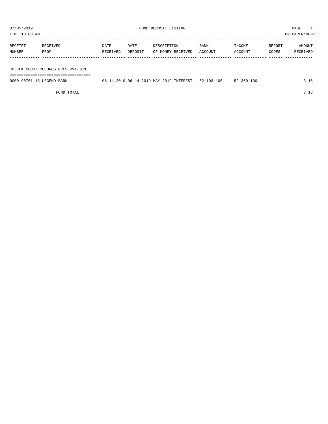TIME:10:08 AM PREPARER:0007

| RECEIPT | RECEIVED | DATE     | DATE    | DESCRIPTION       | <b>BANK</b> | INCOME  | REPORT | AMOUNT   |
|---------|----------|----------|---------|-------------------|-------------|---------|--------|----------|
| NUMBER  | FROM     | RECEIVED | DEPOSIT | OF MONEY RECEIVED | ACCOUNT     | ACCOUNT | CODES  | RECEIVED |
|         |          |          |         |                   |             |         |        |          |
|         |          |          |         |                   |             |         |        |          |

CO.CLK.COURT RECORDS PRESERVATION

===================================

| 0000190761-18 LEGEND BANK | 06-14-2019 MAY 2019 INTEREST<br>$06 - 14 - 2019$ | $52 - 103 - 100$ | $-360 - 100$ | <u>J.LV</u> |
|---------------------------|--------------------------------------------------|------------------|--------------|-------------|
|                           |                                                  |                  |              |             |

FUND TOTAL 3.16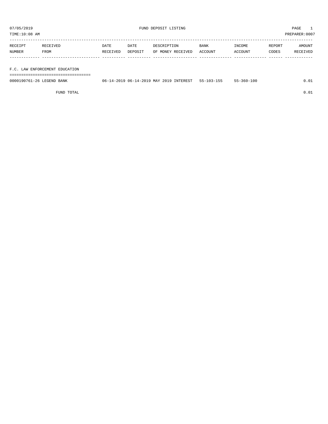TIME:10:08 AM PREPARER:0007

| RECEIPT | RECEIVED | DATE     | DATE    | DESCRIPTION       | BANK    | INCOME  | REPORT | AMOUNT   |
|---------|----------|----------|---------|-------------------|---------|---------|--------|----------|
| NUMBER  | FROM     | RECEIVED | DEPOSIT | OF MONEY RECEIVED | ACCOUNT | ACCOUNT | CODES  | RECEIVED |
|         |          |          |         |                   |         |         |        |          |
|         |          |          |         |                   |         |         |        |          |

F.C. LAW ENFORCEMENT EDUCATION

===================================

| 0000190761-26 LEGEND BANK | INTEREST<br>14-2019 06-14-2019 MAY 2019 1<br>06- | $55 - 103 - 155$ | $-360 - 100$ |  |
|---------------------------|--------------------------------------------------|------------------|--------------|--|
|                           |                                                  |                  |              |  |

FUND TOTAL  $0.01$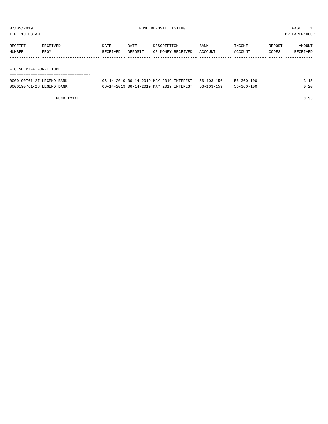TIME:10:08 AM PREPARER:0007

| RECEIPT | RECEIVED | DATE     | DATE    | DESCRIPTION       | <b>BANK</b> | INCOME  | REPORT | AMOUNT   |
|---------|----------|----------|---------|-------------------|-------------|---------|--------|----------|
| NUMBER  | FROM     | RECEIVED | DEPOSIT | OF MONEY RECEIVED | ACCOUNT     | ACCOUNT | CODES  | RECEIVED |
|         |          |          |         |                   |             |         |        |          |
|         |          |          |         |                   |             |         |        |          |

# F C SHERIFF FORFEITURE

| ================================= |                                                    |                  |      |
|-----------------------------------|----------------------------------------------------|------------------|------|
| 0000190761-27 LEGEND BANK         | 06-14-2019 06-14-2019 MAY 2019 INTEREST 56-103-156 | $56 - 360 - 100$ | 3.15 |
| 0000190761-28 LEGEND BANK         | 06-14-2019 06-14-2019 MAY 2019 INTEREST 56-103-159 | $56 - 360 - 100$ | 0.20 |

FUND TOTAL 3.35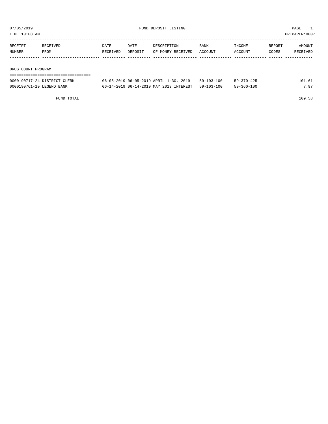TIME:10:08 AM PREPARER:0007

| RECEIPT | RECEIVED | DATE     | DATE    | DESCRIPTION       | BANK    | INCOME  | REPORT | AMOUNT   |
|---------|----------|----------|---------|-------------------|---------|---------|--------|----------|
| NUMBER  | FROM     | RECEIVED | DEPOSIT | OF MONEY RECEIVED | ACCOUNT | ACCOUNT | CODES  | RECEIVED |
|         |          |          |         |                   |         |         |        |          |
|         |          |          |         |                   |         |         |        |          |

DRUG COURT PROGRAM

| --------------------------   |                                                    |                  |                  |        |
|------------------------------|----------------------------------------------------|------------------|------------------|--------|
| 0000190717-24 DISTRICT CLERK | 06-05-2019 06-05-2019 APRIL 1-30, 2019             | $59 - 103 - 100$ | $59 - 370 - 425$ | 101.61 |
| 0000190761-19 LEGEND BANK    | 06-14-2019 06-14-2019 MAY 2019 INTEREST 59-103-100 |                  | $59 - 360 - 100$ | 7.97   |

FUND TOTAL 109.58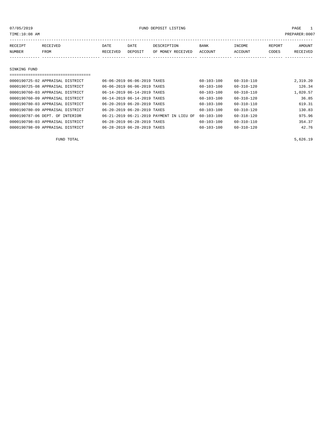or of the state of the state of the state of the state of the state of the state of the state of the state of the state of the state of the state of the state of the state of the state of the state of the state of the stat

| RECEIPT      | RECEIVED | <b>DATE</b> | DATE    | DESCRIPTION       | BANK    | INCOME  | REPORT | <b>AMOUNT</b> |
|--------------|----------|-------------|---------|-------------------|---------|---------|--------|---------------|
| NUMBER       | FROM     | RECEIVED    | DEPOSIT | OF MONEY RECEIVED | ACCOUNT | ACCOUNT | CODES  | RECEIVED      |
|              |          |             |         |                   |         |         |        |               |
|              |          |             |         |                   |         |         |        |               |
| SINKING FUND |          |             |         |                   |         |         |        |               |

| 0000190725-02 APPRAISAL DISTRICT | 06-06-2019 06-06-2019 TAXES              | $60 - 103 - 100$ | $60 - 310 - 110$ | 2,319.20 |
|----------------------------------|------------------------------------------|------------------|------------------|----------|
| 0000190725-08 APPRAISAL DISTRICT | 06-06-2019 06-06-2019 TAXES              | $60 - 103 - 100$ | $60 - 310 - 120$ | 126.34   |
| 0000190760-03 APPRAISAL DISTRICT | 06-14-2019 06-14-2019 TAXES              | $60 - 103 - 100$ | $60 - 310 - 110$ | 1,020.57 |
| 0000190760-09 APPRAISAL DISTRICT | 06-14-2019 06-14-2019 TAXES              | $60 - 103 - 100$ | $60 - 310 - 120$ | 36.85    |
| 0000190780-03 APPRAISAL DISTRICT | 06-20-2019 06-20-2019 TAXES              | $60 - 103 - 100$ | $60 - 310 - 110$ | 619.31   |
| 0000190780-09 APPRAISAL DISTRICT | 06-20-2019 06-20-2019 TAXES              | $60 - 103 - 100$ | $60 - 310 - 120$ | 130.83   |
| 0000190787-06 DEPT. OF INTERIOR  | 06-21-2019 06-21-2019 PAYMENT IN LIEU OF | $60 - 103 - 100$ | $60 - 318 - 120$ | 975.96   |
| 0000190798-03 APPRAISAL DISTRICT | 06-28-2019 06-28-2019 TAXES              | 60-103-100       | $60 - 310 - 110$ | 354.37   |
| 0000190798-09 APPRAISAL DISTRICT | 06-28-2019 06-28-2019 TAXES              | $60 - 103 - 100$ | $60 - 310 - 120$ | 42.76    |

FUND TOTAL  $5,626.19$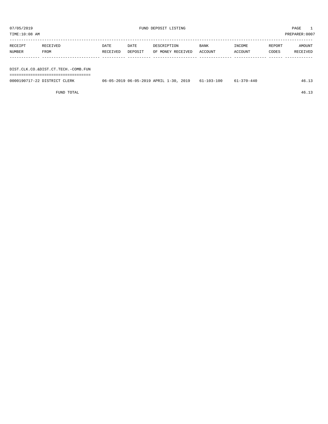or of the set of the set of the set of the set of the set of the set of the set of the set of the set of the set of the set of the set of the set of the set of the set of the set of the set of the set of the set of the set

| TIME:10:08 AM |                                     |          |         |                   |             |         |        | PREPARER:0007 |  |
|---------------|-------------------------------------|----------|---------|-------------------|-------------|---------|--------|---------------|--|
|               |                                     |          |         |                   |             |         |        |               |  |
| RECEIPT       | RECEIVED                            | DATE     | DATE    | DESCRIPTION       | <b>BANK</b> | INCOME  | REPORT | AMOUNT        |  |
| NUMBER        | <b>FROM</b>                         | RECEIVED | DEPOSIT | OF MONEY RECEIVED | ACCOUNT     | ACCOUNT | CODES  | RECEIVED      |  |
|               |                                     |          |         |                   |             |         |        |               |  |
|               |                                     |          |         |                   |             |         |        |               |  |
|               | DIST.CLK.CO.&DIST.CT.TECH.-COMB.FUN |          |         |                   |             |         |        |               |  |
|               |                                     |          |         |                   |             |         |        |               |  |

===================================

| 0000190717-22 DISTRICT CLERK | 06-05-2019 06-05-2019 APRIL 1-30, 2019 61-103-100 | 61-370-440 | 46.LJ |
|------------------------------|---------------------------------------------------|------------|-------|
|                              |                                                   |            |       |

FUND TOTAL 46.13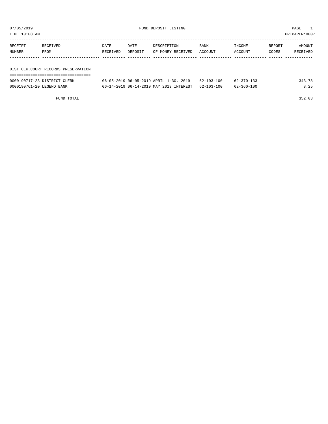| TIME:10:08 AM<br>PREPARER:0007 |                                     |          |         |                                        |             |                  |        |          |
|--------------------------------|-------------------------------------|----------|---------|----------------------------------------|-------------|------------------|--------|----------|
|                                |                                     |          |         |                                        |             |                  |        |          |
| RECEIPT                        | RECEIVED                            | DATE     | DATE    | DESCRIPTION                            | <b>BANK</b> | INCOME           | REPORT | AMOUNT   |
| NUMBER                         | FROM                                | RECEIVED | DEPOSIT | OF MONEY RECEIVED                      | ACCOUNT     | ACCOUNT          | CODES  | RECEIVED |
|                                |                                     |          |         |                                        |             |                  |        |          |
|                                |                                     |          |         |                                        |             |                  |        |          |
|                                | DIST.CLK.COURT RECORDS PRESERVATION |          |         |                                        |             |                  |        |          |
|                                |                                     |          |         |                                        |             |                  |        |          |
|                                | 0000190717-23 DISTRICT CLERK        |          |         | 06-05-2019 06-05-2019 APRIL 1-30, 2019 | 62-103-100  | $62 - 370 - 133$ |        | 343.78   |
|                                |                                     |          |         |                                        |             |                  |        |          |

0000190761-20 LEGEND BANK 06-14-2019 06-14-2019 MAY 2019 INTEREST 62-103-100 62-360-100 8.25

FUND TOTAL 352.03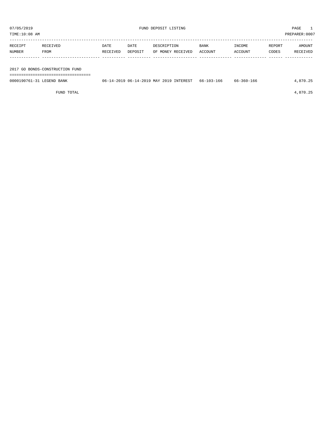| 07/05/2019<br>TIME:10:08 AM |                                 |          |         | FUND DEPOSIT LISTING | PAGE<br>PREPARER: 0007 |         |        |          |  |
|-----------------------------|---------------------------------|----------|---------|----------------------|------------------------|---------|--------|----------|--|
|                             |                                 |          |         |                      |                        |         |        |          |  |
| RECEIPT                     | RECEIVED                        | DATE     | DATE    | DESCRIPTION          | <b>BANK</b>            | INCOME  | REPORT | AMOUNT   |  |
| NUMBER                      | FROM                            | RECEIVED | DEPOSIT | OF MONEY RECEIVED    | ACCOUNT                | ACCOUNT | CODES  | RECEIVED |  |
|                             |                                 |          |         |                      |                        |         |        |          |  |
|                             |                                 |          |         |                      |                        |         |        |          |  |
|                             | 2017 GO BONDS-CONSTRUCTION FUND |          |         |                      |                        |         |        |          |  |

===================================

| 0000190761-31 LEGEND BANK | 06-14-2019 06-14-2019 MAY 2019 INTEREST 66-103-166 | 66-360-166 | 4,870.25 |
|---------------------------|----------------------------------------------------|------------|----------|
|                           |                                                    |            |          |

FUND TOTAL  $4,870.25$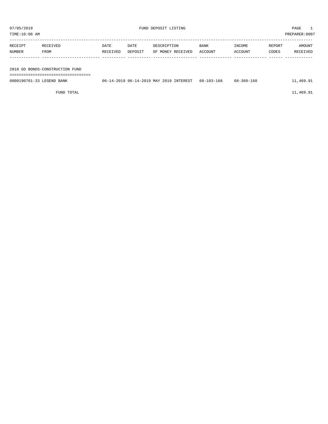| 07/05/2019    |          |          |         | FUND DEPOSIT LISTING |             |         |        | PAGE          |  |
|---------------|----------|----------|---------|----------------------|-------------|---------|--------|---------------|--|
| TIME:10:08 AM |          |          |         |                      |             |         |        | PREPARER:0007 |  |
| RECEIPT       | RECEIVED | DATE     | DATE    | DESCRIPTION          | <b>BANK</b> | INCOME  | REPORT | AMOUNT        |  |
| <b>NUMBER</b> | FROM     | RECEIVED | DEPOSIT | OF MONEY RECEIVED    | ACCOUNT     | ACCOUNT | CODES  | RECEIVED      |  |

| 2018 GO BONDS-CONSTRUCTION FUND |                                         |            |            |           |
|---------------------------------|-----------------------------------------|------------|------------|-----------|
|                                 |                                         |            |            |           |
| 0000190761-33 LEGEND BANK       | 06-14-2019 06-14-2019 MAY 2019 INTEREST | 68-103-168 | 68-360-168 | 11,469.91 |
| FUND TOTAL                      |                                         |            |            | 11,469.91 |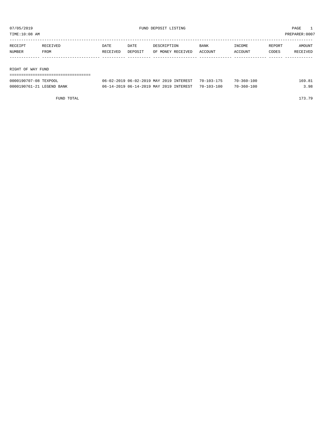TIME:10:08 AM PREPARER:0007

| RECEIPT           | RECEIVED | DATE     | DATE    | DESCRIPTION       | <b>BANK</b> | INCOME  | REPORT | AMOUNT   |
|-------------------|----------|----------|---------|-------------------|-------------|---------|--------|----------|
| NUMBER            | FROM     | RECEIVED | DEPOSIT | OF MONEY RECEIVED | ACCOUNT     | ACCOUNT | CODES  | RECEIVED |
|                   |          |          |         |                   |             |         |        |          |
|                   |          |          |         |                   |             |         |        |          |
|                   |          |          |         |                   |             |         |        |          |
| RIGHT OF WAY FUND |          |          |         |                   |             |         |        |          |
|                   |          |          |         |                   |             |         |        |          |

| 0000190707-08 TEXPOOL     | 06-02-2019 06-02-2019 MAY 2019 INTEREST 70-103-175 | $70 - 360 - 100$ | 169.81 |
|---------------------------|----------------------------------------------------|------------------|--------|
| 0000190761-21 LEGEND BANK | 06-14-2019 06-14-2019 MAY 2019 INTEREST 70-103-100 | $70 - 360 - 100$ | २. ९८  |

FUND TOTAL 173.79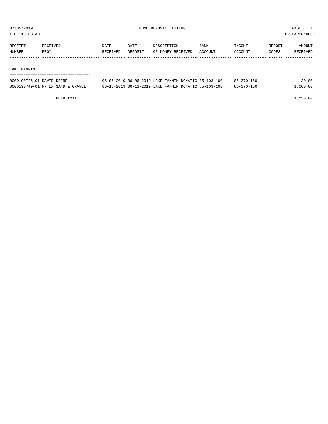TIME:10:08 AM PREPARER:0007

| RECEIPT | <b>RECEIVED</b> | DATE     | DATE    | DESCRIPTION       | <b>BANK</b> | INCOME  | REPORT | AMOUNT   |
|---------|-----------------|----------|---------|-------------------|-------------|---------|--------|----------|
| NUMBER  | FROM            | RECEIVED | DEPOSIT | OF MONEY RECEIVED | ACCOUNT     | ACCOUNT | CODES  | RECEIVED |
|         |                 |          |         |                   |             |         |        |          |

## LAKE FANNIN

| -------------------------------   |                                                      |            |          |
|-----------------------------------|------------------------------------------------------|------------|----------|
| 0000190726-01 DAVID KEENE         | 06-06-2019 06-06-2019 LAKE FANNIN DONATIO 85-103-100 | 85-370-150 | 30.00    |
| 0000190749-01 N-TEX SAND & GRAVEL | 06-13-2019 06-13-2019 LAKE FANNIN DONATIO 85-103-100 | 85-370-150 | 1,000.00 |

FUND TOTAL 1,030.00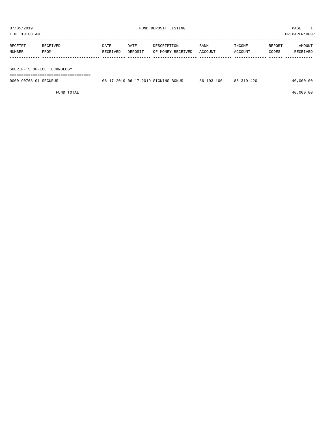| TIME:10:08 AM |                             |          |         |                   |             |         |        | PREPARER:0007 |
|---------------|-----------------------------|----------|---------|-------------------|-------------|---------|--------|---------------|
|               |                             |          |         |                   |             |         |        |               |
| RECEIPT       | RECEIVED                    | DATE     | DATE    | DESCRIPTION       | <b>BANK</b> | INCOME  | REPORT | AMOUNT        |
| <b>NUMBER</b> | FROM                        | RECEIVED | DEPOSIT | OF MONEY RECEIVED | ACCOUNT     | ACCOUNT | CODES  | RECEIVED      |
|               |                             |          |         |                   |             |         |        |               |
|               |                             |          |         |                   |             |         |        |               |
|               | SHERIFF'S OFFICE TECHNOLOGY |          |         |                   |             |         |        |               |

===================================

0000190768-01 SECURUS 06-17-2019 06-17-2019 SIGNING BONUS 86-103-100 86-319-420 40,000.00

 $FUND$  to the contract of  $40,000.00$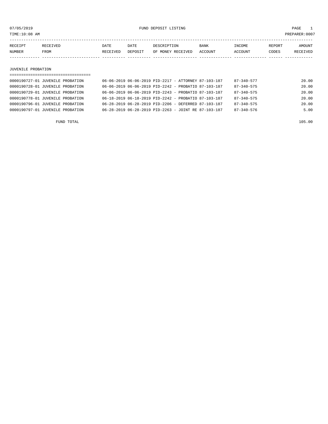or of the state of the state of the state of the state of the state of the state of the state of the state of the state of the state of the state of the state of the state of the state of the state of the state of the stat

| RECEIPT | <b>TEIVED</b> | DATE     | DATE    | PESCRIPTION          | <b>BANK</b>    | INCOME  | REPORT | AMOUNT        |
|---------|---------------|----------|---------|----------------------|----------------|---------|--------|---------------|
| NUMBER  | FROM          | RECEIVED | DEPOSIT | RECEIVED<br>OF MONEY | <b>ACCOUNT</b> | ACCOUNT | ~ODES  | TVEF<br>RECE. |
|         |               |          |         |                      |                |         |        |               |

## JUVENILE PROBATION

| ===================================== |                                                                  |  |                  |       |
|---------------------------------------|------------------------------------------------------------------|--|------------------|-------|
| 0000190727-01 JUVENILE PROBATION      | 06-06-2019 06-06-2019 PID-2217 - ATTORNEY 87-103-187             |  | $87 - 340 - 577$ | 20.00 |
| 0000190728-01 JUVENILE PROBATION      | 06-06-2019 06-06-2019 PID-2242 - PROBATIO 87-103-187             |  | $87 - 340 - 575$ | 20.00 |
| 0000190729-01 JUVENILE PROBATION      | 06-06-2019 06-06-2019 PID-2243 - PROBATIO 87-103-187             |  | $87 - 340 - 575$ | 20.00 |
| 0000190778-01 JUVENILE PROBATION      | 06-18-2019 06-18-2019 PID-2242 - PROBATIO 87-103-187             |  | $87 - 340 - 575$ | 20.00 |
| 0000190796-01 JUVENILE PROBATION      | $06 - 28 - 2019$ $06 - 28 - 2019$ PID-2206 - DEFERRED 87-103-187 |  | $87 - 340 - 575$ | 20.00 |
| 0000190797-01 JUVENILE PROBATION      | $06 - 28 - 2019$ $06 - 28 - 2019$ PID-2263 - JOINT RE 87-103-187 |  | $87 - 340 - 576$ | 5.00  |
|                                       |                                                                  |  |                  |       |

FUND TOTAL 105.00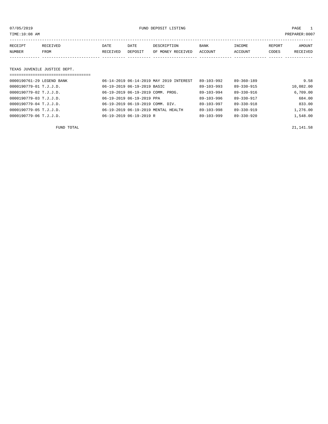or of the state of the state of the state of the state of the state of the state of the state of the state of the state of the state of the state of the state of the state of the state of the state of the state of the stat

| RECEIPT | <b>RECEIVED</b> | DATE     | DATE    | DESCRIPTION       | <b>BANK</b> | INCOME  | REPORT | AMOUNT   |
|---------|-----------------|----------|---------|-------------------|-------------|---------|--------|----------|
| NUMBER  | FROM            | RECEIVED | DEPOSIT | OF MONEY RECEIVED | ACCOUNT     | ACCOUNT | CODES  | RECEIVED |
|         |                 |          |         |                   |             |         |        |          |

# TEXAS JUVENILE JUSTICE DEPT.

| =================================== |                                         |                  |                  |           |
|-------------------------------------|-----------------------------------------|------------------|------------------|-----------|
| 0000190761-29 LEGEND BANK           | 06-14-2019 06-14-2019 MAY 2019 INTEREST | $89 - 103 - 992$ | $89 - 360 - 189$ | 9.58      |
| 0000190779-01 T.J.J.D.              | 06-19-2019 06-19-2019 BASIC             | $89 - 103 - 993$ | 89-330-915       | 10,082.00 |
| 0000190779-02 T.J.J.D.              | 06-19-2019 06-19-2019 COMM. PROG.       | $89 - 103 - 994$ | $89 - 330 - 916$ | 6,709.00  |
| 0000190779-03 T.J.J.D.              | 06-19-2019 06-19-2019 PPA               | $89 - 103 - 996$ | 89-330-917       | 684.00    |
| 0000190779-04 T.J.J.D.              | 06-19-2019 06-19-2019 COMM. DIV.        | $89 - 103 - 997$ | 89-330-918       | 833.00    |
| 0000190779-05 T.J.J.D.              | 06-19-2019 06-19-2019 MENTAL HEALTH     | $89 - 103 - 998$ | $89 - 330 - 919$ | 1,276.00  |
| 0000190779-06 T.J.J.D.              | 06-19-2019 06-19-2019 R                 | $89 - 103 - 999$ | $89 - 330 - 920$ | 1,548.00  |

FUND TOTAL  $21,141.58$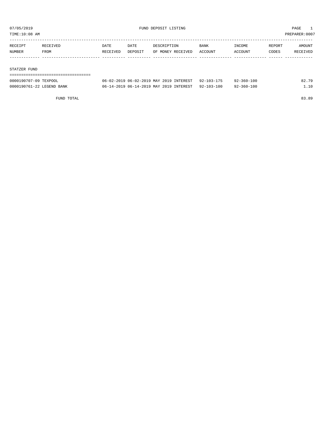TIME:10:08 AM PREPARER:0007

| RECEIPT | RECEIVED | DATE     | <b>DATE</b> | DESCRIPTION       | BANK    | INCOME  | REPORT | AMOUNT   |
|---------|----------|----------|-------------|-------------------|---------|---------|--------|----------|
| NUMBER  | FROM     | RECEIVED | DEPOSIT     | OF MONEY RECEIVED | ACCOUNT | ACCOUNT | CODES  | RECEIVED |
|         |          |          |             |                   |         |         |        |          |
|         |          |          |             |                   |         |         |        |          |

## STATZER FUND

| ------------------------------------ |                                                    |                  |       |
|--------------------------------------|----------------------------------------------------|------------------|-------|
| 0000190707-09 TEXPOOL                | 06-02-2019 06-02-2019 MAY 2019 INTEREST 92-103-175 | $92 - 360 - 100$ | 82.79 |
| 0000190761-22 LEGEND BANK            | 06-14-2019 06-14-2019 MAY 2019 INTEREST 92-103-100 | 92-360-100       | 1.10  |

FUND TOTAL 83.89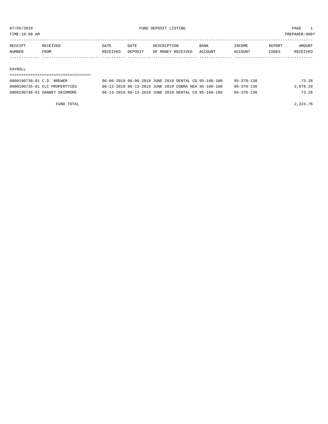TIME:10:08 AM PREPARER:0007

| NUMBER  | <b>FROM</b>     | RECEIVED | DEPOSIT | OF MONEY RECEIVED | ACCOUNT     | ACCOUNT       | CODES  | <b>RECEIVED</b> |
|---------|-----------------|----------|---------|-------------------|-------------|---------------|--------|-----------------|
| RECEIPT | <b>RECEIVED</b> | DATE     | DATE    | DESCRIPTION       | <b>BANK</b> | <b>INCOME</b> | REPORT | <b>AMOUNT</b>   |
|         |                 |          |         |                   |             |               |        |                 |

## PAYROLL

# ===================================

| 0000190730-01 C.D. BREWER     | 06-06-2019 06-06-2019 JUNE 2019 DENTAL CO 95-100-100 |  | $95 - 370 - 130$ | 73.28    |
|-------------------------------|------------------------------------------------------|--|------------------|----------|
| 0000190735-01 CLC PROPERTYIES | 06-13-2019 06-13-2019 JUNE 2019 COBRA HEA 95-100-100 |  | $95 - 370 - 130$ | 2,078.20 |
| 0000190748-01 DANNEY SKIDMORE | 06-13-2019 06-13-2019 JUNE 2019 DENTAL CO 95-100-100 |  | $95 - 370 - 130$ | 73.28    |

FUND TOTAL 2,224.76